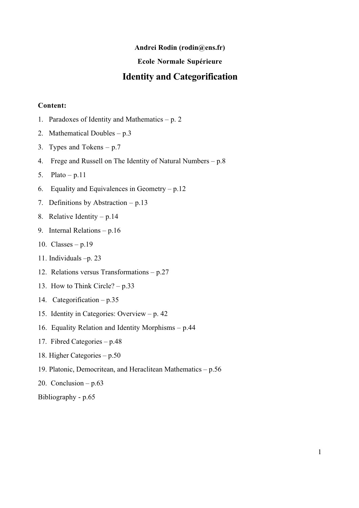### **Andrei Rodin (rodin@ens.fr)**

## **Ecole Normale Supérieure**

# **Identity and Categorification**

## **Content:**

- 1. Paradoxes of Identity and Mathematics p. 2
- 2. Mathematical Doubles p.3
- 3. Types and Tokens p.7
- 4. Frege and Russell on The Identity of Natural Numbers p.8
- 5. Plato p.11
- 6. Equality and Equivalences in Geometry p.12
- 7. Definitions by Abstraction p.13
- 8. Relative Identity p.14
- 9. Internal Relations p.16
- 10. Classes p.19
- 11. Individuals –p. 23
- 12. Relations versus Transformations p.27
- 13. How to Think Circle? p.33
- 14. Categorification p.35
- 15. Identity in Categories: Overview p. 42
- 16. Equality Relation and Identity Morphisms p.44
- 17. Fibred Categories p.48
- 18. Higher Categories p.50
- 19. Platonic, Democritean, and Heraclitean Mathematics p.56
- 20. Conclusion p.63

Bibliography - p.65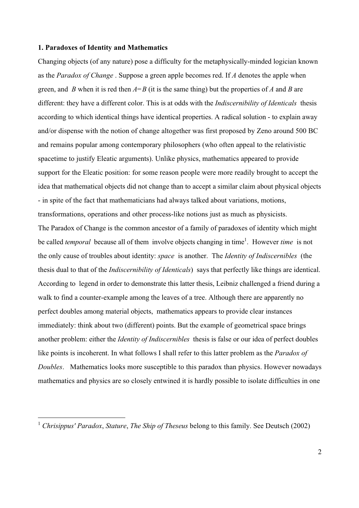#### **1. Paradoxes of Identity and Mathematics**

Changing objects (of any nature) pose a difficulty for the metaphysically-minded logician known as the *Paradox of Change* . Suppose a green apple becomes red. If *A* denotes the apple when green, and *B* when it is red then *A=B* (it is the same thing) but the properties of *A* and *B* are different: they have a different color. This is at odds with the *Indiscernibility of Identicals* thesis according to which identical things have identical properties. A radical solution - to explain away and/or dispense with the notion of change altogether was first proposed by Zeno around 500 BC and remains popular among contemporary philosophers (who often appeal to the relativistic spacetime to justify Eleatic arguments). Unlike physics, mathematics appeared to provide support for the Eleatic position: for some reason people were more readily brought to accept the idea that mathematical objects did not change than to accept a similar claim about physical objects - in spite of the fact that mathematicians had always talked about variations, motions, transformations, operations and other process-like notions just as much as physicists. The Paradox of Change is the common ancestor of a family of paradoxes of identity which might be called *temporal* because all of them involve objects changing in time<sup>1</sup>. However *time* is not the only cause of troubles about identity: *space* is another. The *Identity of Indiscernibles* (the thesis dual to that of the *Indiscernibility of Identicals*) says that perfectly like things are identical. According to legend in order to demonstrate this latter thesis, Leibniz challenged a friend during a walk to find a counter-example among the leaves of a tree. Although there are apparently no perfect doubles among material objects, mathematics appears to provide clear instances immediately: think about two (different) points. But the example of geometrical space brings another problem: either the *Identity of Indiscernibles* thesis is false or our idea of perfect doubles like points is incoherent. In what follows I shall refer to this latter problem as the *Paradox of Doubles*. Mathematics looks more susceptible to this paradox than physics. However nowadays mathematics and physics are so closely entwined it is hardly possible to isolate difficulties in one

<sup>1</sup> *Chrisippus' Paradox*, *Stature*, *The Ship of Theseus* belong to this family. See Deutsch (2002)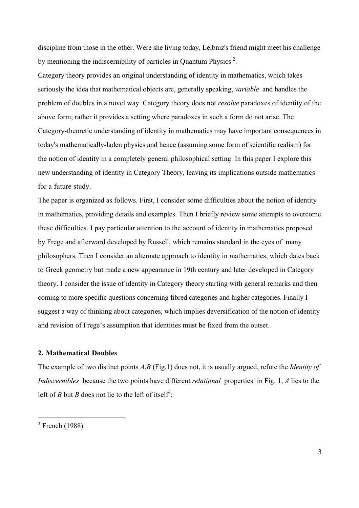discipline from those in the other. Were she living today, Leibniz's friend might meet his challenge by mentioning the indiscernibility of particles in Quantum Physics<sup>2</sup>.

Category theory provides an original understanding of identity in mathematics, which takes seriously the idea that mathematical objects are, generally speaking, *variable* and handles the problem of doubles in a novel way. Category theory does not *resolve* paradoxes of identity of the above form; rather it provides a setting where paradoxes in such a form do not arise. The Category-theoretic understanding of identity in mathematics may have important consequences in today's mathematically-laden physics and hence (assuming some form of scientific realism) for the notion of identity in a completely general philosophical setting. In this paper I explore this new understanding of identity in Category Theory, leaving its implications outside mathematics for a future study.

The paper is organized as follows. First, I consider some difficulties about the notion of identity in mathematics, providing details and examples. Then I briefly review some attempts to overcome these difficulties. I pay particular attention to the account of identity in mathematics proposed by Frege and afterward developed by Russell, which remains standard in the eyes of many philosophers. Then I consider an alternate approach to identity in mathematics, which dates back to Greek geometry but made a new appearance in 19th century and later developed in Category theory. I consider the issue of identity in Category theory starting with general remarks and then coming to more specific questions concerning fibred categories and higher categories. Finally I suggest a way of thinking about categories, which implies deversification of the notion of identity and revision of Frege's assumption that identities must be fixed from the outset.

## **2. Mathematical Doubles**

The example of two distinct points *A*,*B* (Fig.1) does not, it is usually argued, refute the *Identity of Indiscernibles* because the two points have different *relational* properties: in Fig. 1, *A* lies to the left of *B* but *B* does not lie to the left of itself<sup>3</sup>:

 $2$  French (1988)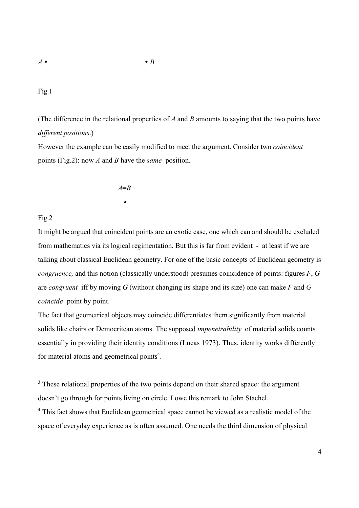Fig.1

(The difference in the relational properties of *A* and *B* amounts to saying that the two points have *different positions*.)

However the example can be easily modified to meet the argument. Consider two *coincident* points (Fig.2): now *A* and *B* have the *same* position.

#### *A*=*B*

•

#### Fig.2

 $\overline{a}$ 

It might be argued that coincident points are an exotic case, one which can and should be excluded from mathematics via its logical regimentation. But this is far from evident - at least if we are talking about classical Euclidean geometry. For one of the basic concepts of Euclidean geometry is *congruence,* and this notion (classically understood) presumes coincidence of points: figures *F*, *G* are *congruent* iff by moving *G* (without changing its shape and its size) one can make *F* and *G coincide* point by point.

The fact that geometrical objects may coincide differentiates them significantly from material solids like chairs or Democritean atoms. The supposed *impenetrability* of material solids counts essentially in providing their identity conditions (Lucas 1973). Thus, identity works differently for material atoms and geometrical points<sup>4</sup>.

 $3$  These relational properties of the two points depend on their shared space: the argument doesn't go through for points living on circle. I owe this remark to John Stachel.

<sup>4</sup> This fact shows that Euclidean geometrical space cannot be viewed as a realistic model of the space of everyday experience as is often assumed. One needs the third dimension of physical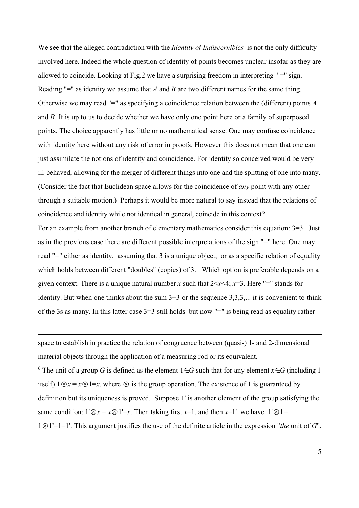We see that the alleged contradiction with the *Identity of Indiscernibles* is not the only difficulty involved here. Indeed the whole question of identity of points becomes unclear insofar as they are allowed to coincide. Looking at Fig.2 we have a surprising freedom in interpreting "=" sign. Reading "=" as identity we assume that *A* and *B* are two different names for the same thing. Otherwise we may read "=" as specifying a coincidence relation between the (different) points *A* and *B*. It is up to us to decide whether we have only one point here or a family of superposed points. The choice apparently has little or no mathematical sense. One may confuse coincidence with identity here without any risk of error in proofs. However this does not mean that one can just assimilate the notions of identity and coincidence. For identity so conceived would be very ill-behaved, allowing for the merger of different things into one and the splitting of one into many. (Consider the fact that Euclidean space allows for the coincidence of *any* point with any other through a suitable motion.) Perhaps it would be more natural to say instead that the relations of coincidence and identity while not identical in general, coincide in this context? For an example from another branch of elementary mathematics consider this equation: 3=3. Just as in the previous case there are different possible interpretations of the sign "=" here. One may read "=" either as identity, assuming that 3 is a unique object, or as a specific relation of equality which holds between different "doubles" (copies) of 3. Which option is preferable depends on a given context. There is a unique natural number x such that  $2 \le x \le 4$ ;  $x=3$ . Here "=" stands for identity. But when one thinks about the sum 3+3 or the sequence 3,3,3,... it is convenient to think

of the 3s as many. In this latter case 3=3 still holds but now "=" is being read as equality rather

 $\overline{a}$ 

space to establish in practice the relation of congruence between (quasi-) 1- and 2-dimensional material objects through the application of a measuring rod or its equivalent. <sup>6</sup> The unit of a group *G* is defined as the element 1∈*G* such that for any element *x*∈*G* (including 1 itself)  $1 ⊗ x = x ⊗ 1=x$ , where 
� is the group operation. The existence of 1 is guaranteed by definition but its uniqueness is proved. Suppose 1' is another element of the group satisfying the same condition:  $1' \otimes x = x \otimes 1 = x$ . Then taking first *x*=1, and then *x*=1' we have  $1' \otimes 1 =$ 1⊗1'=1=1'. This argument justifies the use of the definite article in the expression "*the* unit of *G*".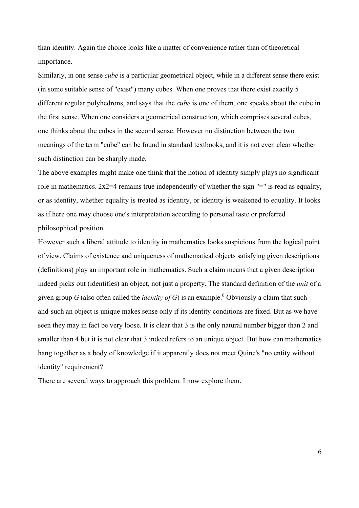than identity. Again the choice looks like a matter of convenience rather than of theoretical importance.

Similarly, in one sense *cube* is a particular geometrical object, while in a different sense there exist (in some suitable sense of "exist") many cubes. When one proves that there exist exactly 5 different regular polyhedrons, and says that the *cube* is one of them, one speaks about the cube in the first sense. When one considers a geometrical construction, which comprises several cubes, one thinks about the cubes in the second sense. However no distinction between the two meanings of the term "cube" can be found in standard textbooks, and it is not even clear whether such distinction can be sharply made.

The above examples might make one think that the notion of identity simply plays no significant role in mathematics. 2x2=4 remains true independently of whether the sign "=" is read as equality, or as identity, whether equality is treated as identity, or identity is weakened to equality. It looks as if here one may choose one's interpretation according to personal taste or preferred philosophical position.

However such a liberal attitude to identity in mathematics looks suspicious from the logical point of view. Claims of existence and uniqueness of mathematical objects satisfying given descriptions (definitions) play an important role in mathematics. Such a claim means that a given description indeed picks out (identifies) an object, not just a property. The standard definition of the *unit* of a given group *G* (also often called the *identity of G*) is an example.<sup>6</sup> Obviously a claim that suchand-such an object is unique makes sense only if its identity conditions are fixed. But as we have seen they may in fact be very loose. It is clear that 3 is the only natural number bigger than 2 and smaller than 4 but it is not clear that 3 indeed refers to an unique object. But how can mathematics hang together as a body of knowledge if it apparently does not meet Quine's "no entity without identity" requirement?

There are several ways to approach this problem. I now explore them.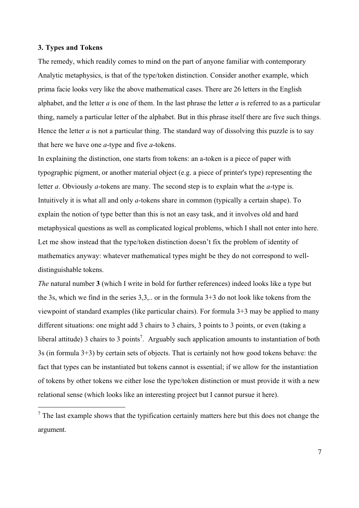#### **3. Types and Tokens**

 $\overline{a}$ 

The remedy, which readily comes to mind on the part of anyone familiar with contemporary Analytic metaphysics, is that of the type/token distinction. Consider another example, which prima facie looks very like the above mathematical cases. There are 26 letters in the English alphabet, and the letter *a* is one of them. In the last phrase the letter *a* is referred to as a particular thing, namely a particular letter of the alphabet. But in this phrase itself there are five such things. Hence the letter  $a$  is not a particular thing. The standard way of dissolving this puzzle is to say that here we have one *a*-type and five *a*-tokens.

In explaining the distinction, one starts from tokens: an a-token is a piece of paper with typographic pigment, or another material object (e.g. a piece of printer's type) representing the letter *a*. Obviously *a*-tokens are many. The second step is to explain what the *a*-type is. Intuitively it is what all and only *a*-tokens share in common (typically a certain shape). To explain the notion of type better than this is not an easy task, and it involves old and hard metaphysical questions as well as complicated logical problems, which I shall not enter into here. Let me show instead that the type/token distinction doesn't fix the problem of identity of mathematics anyway: whatever mathematical types might be they do not correspond to welldistinguishable tokens.

*The* natural number **3** (which I write in bold for further references) indeed looks like a type but the 3s, which we find in the series 3,3,.. or in the formula 3+3 do not look like tokens from the viewpoint of standard examples (like particular chairs). For formula 3+3 may be applied to many different situations: one might add 3 chairs to 3 chairs, 3 points to 3 points, or even (taking a liberal attitude) 3 chairs to 3 points<sup>7</sup>. Arguably such application amounts to instantiation of both 3s (in formula 3+3) by certain sets of objects. That is certainly not how good tokens behave: the fact that types can be instantiated but tokens cannot is essential; if we allow for the instantiation of tokens by other tokens we either lose the type/token distinction or must provide it with a new relational sense (which looks like an interesting project but I cannot pursue it here).

 $<sup>7</sup>$  The last example shows that the typification certainly matters here but this does not change the</sup> argument.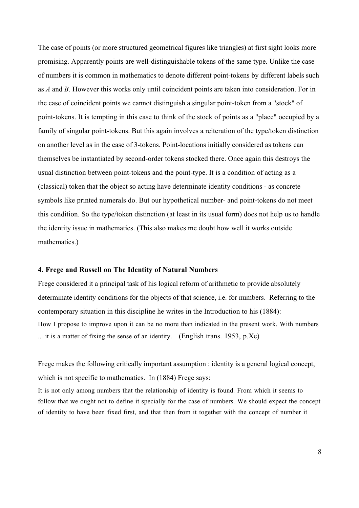The case of points (or more structured geometrical figures like triangles) at first sight looks more promising. Apparently points are well-distinguishable tokens of the same type. Unlike the case of numbers it is common in mathematics to denote different point-tokens by different labels such as *A* and *B*. However this works only until coincident points are taken into consideration. For in the case of coincident points we cannot distinguish a singular point-token from a "stock" of point-tokens. It is tempting in this case to think of the stock of points as a "place" occupied by a family of singular point-tokens. But this again involves a reiteration of the type/token distinction on another level as in the case of 3-tokens. Point-locations initially considered as tokens can themselves be instantiated by second-order tokens stocked there. Once again this destroys the usual distinction between point-tokens and the point-type. It is a condition of acting as a (classical) token that the object so acting have determinate identity conditions - as concrete symbols like printed numerals do. But our hypothetical number- and point-tokens do not meet this condition. So the type/token distinction (at least in its usual form) does not help us to handle the identity issue in mathematics. (This also makes me doubt how well it works outside mathematics.)

#### **4. Frege and Russell on The Identity of Natural Numbers**

Frege considered it a principal task of his logical reform of arithmetic to provide absolutely determinate identity conditions for the objects of that science, i.e. for numbers. Referring to the contemporary situation in this discipline he writes in the Introduction to his (1884): How I propose to improve upon it can be no more than indicated in the present work. With numbers ... it is a matter of fixing the sense of an identity. (English trans. 1953,  $p.Xe$ )

Frege makes the following critically important assumption : identity is a general logical concept, which is not specific to mathematics. In (1884) Frege says:

It is not only among numbers that the relationship of identity is found. From which it seems to follow that we ought not to define it specially for the case of numbers. We should expect the concept of identity to have been fixed first, and that then from it together with the concept of number it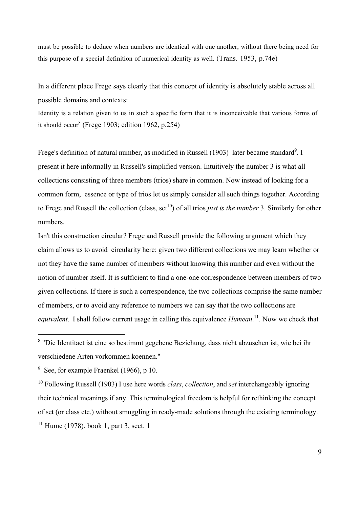must be possible to deduce when numbers are identical with one another, without there being need for this purpose of a special definition of numerical identity as well. (Trans. 1953, p.74e)

In a different place Frege says clearly that this concept of identity is absolutely stable across all possible domains and contexts:

Identity is a relation given to us in such a specific form that it is inconceivable that various forms of it should occur<sup>8</sup> (Frege 1903; edition 1962, p.254)

Frege's definition of natural number, as modified in Russell (1903) later became standard<sup>9</sup>. I present it here informally in Russell's simplified version. Intuitively the number 3 is what all collections consisting of three members (trios) share in common. Now instead of looking for a common form, essence or type of trios let us simply consider all such things together. According to Frege and Russell the collection (class, set<sup>10</sup>) of all trios *just is the number* 3. Similarly for other numbers.

Isn't this construction circular? Frege and Russell provide the following argument which they claim allows us to avoid circularity here: given two different collections we may learn whether or not they have the same number of members without knowing this number and even without the notion of number itself. It is sufficient to find a one-one correspondence between members of two given collections. If there is such a correspondence, the two collections comprise the same number of members, or to avoid any reference to numbers we can say that the two collections are *equivalent*. I shall follow current usage in calling this equivalence *Humean*. 11. Now we check that

 $\overline{a}$ 

10 Following Russell (1903) I use here words *class*, *collection*, and *set* interchangeably ignoring their technical meanings if any. This terminological freedom is helpful for rethinking the concept of set (or class etc.) without smuggling in ready-made solutions through the existing terminology.  $11$  Hume (1978), book 1, part 3, sect. 1

<sup>&</sup>lt;sup>8</sup> "Die Identitaet ist eine so bestimmt gegebene Beziehung, dass nicht abzusehen ist, wie bei ihr verschiedene Arten vorkommen koennen."

 $9^9$  See, for example Fraenkel (1966), p 10.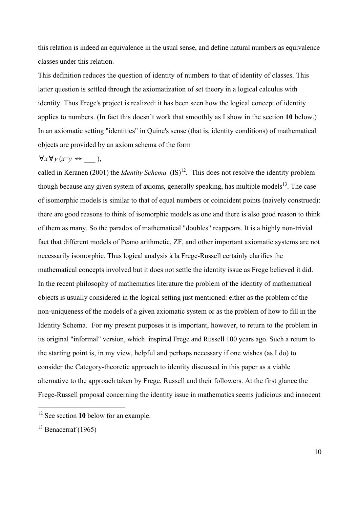this relation is indeed an equivalence in the usual sense, and define natural numbers as equivalence classes under this relation.

This definition reduces the question of identity of numbers to that of identity of classes. This latter question is settled through the axiomatization of set theory in a logical calculus with identity. Thus Frege's project is realized: it has been seen how the logical concept of identity applies to numbers. (In fact this doesn't work that smoothly as I show in the section **10** below.) In an axiomatic setting "identities" in Quine's sense (that is, identity conditions) of mathematical objects are provided by an axiom schema of the form

# $\forall x \forall y (x= y \leftrightarrow$  ),

called in Keranen (2001) the *Identity Schema* (IS)<sup>12</sup>. This does not resolve the identity problem though because any given system of axioms, generally speaking, has multiple models<sup>13</sup>. The case of isomorphic models is similar to that of equal numbers or coincident points (naively construed): there are good reasons to think of isomorphic models as one and there is also good reason to think of them as many. So the paradox of mathematical "doubles" reappears. It is a highly non-trivial fact that different models of Peano arithmetic, ZF, and other important axiomatic systems are not necessarily isomorphic. Thus logical analysis à la Frege-Russell certainly clarifies the mathematical concepts involved but it does not settle the identity issue as Frege believed it did. In the recent philosophy of mathematics literature the problem of the identity of mathematical objects is usually considered in the logical setting just mentioned: either as the problem of the non-uniqueness of the models of a given axiomatic system or as the problem of how to fill in the Identity Schema. For my present purposes it is important, however, to return to the problem in its original "informal" version, which inspired Frege and Russell 100 years ago. Such a return to the starting point is, in my view, helpful and perhaps necessary if one wishes (as I do) to consider the Category-theoretic approach to identity discussed in this paper as a viable alternative to the approach taken by Frege, Russell and their followers. At the first glance the Frege-Russell proposal concerning the identity issue in mathematics seems judicious and innocent

<sup>12</sup> See section **10** below for an example.

 $13$  Benacerraf (1965)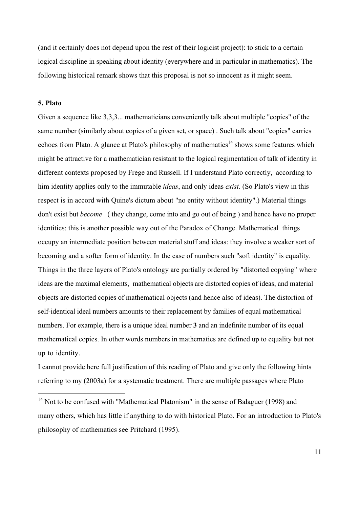(and it certainly does not depend upon the rest of their logicist project): to stick to a certain logical discipline in speaking about identity (everywhere and in particular in mathematics). The following historical remark shows that this proposal is not so innocent as it might seem.

## **5. Plato**

 $\overline{a}$ 

Given a sequence like 3,3,3... mathematicians conveniently talk about multiple "copies" of the same number (similarly about copies of a given set, or space) . Such talk about "copies" carries echoes from Plato. A glance at Plato's philosophy of mathematics<sup>14</sup> shows some features which might be attractive for a mathematician resistant to the logical regimentation of talk of identity in different contexts proposed by Frege and Russell. If I understand Plato correctly, according to him identity applies only to the immutable *ideas*, and only ideas *exist*. (So Plato's view in this respect is in accord with Quine's dictum about "no entity without identity".) Material things don't exist but *become* ( they change, come into and go out of being ) and hence have no proper identities: this is another possible way out of the Paradox of Change. Mathematical things occupy an intermediate position between material stuff and ideas: they involve a weaker sort of becoming and a softer form of identity. In the case of numbers such "soft identity" is equality. Things in the three layers of Plato's ontology are partially ordered by "distorted copying" where ideas are the maximal elements, mathematical objects are distorted copies of ideas, and material objects are distorted copies of mathematical objects (and hence also of ideas). The distortion of self-identical ideal numbers amounts to their replacement by families of equal mathematical numbers. For example, there is a unique ideal number **3** and an indefinite number of its equal mathematical copies. In other words numbers in mathematics are defined up to equality but not up to identity.

I cannot provide here full justification of this reading of Plato and give only the following hints referring to my (2003a) for a systematic treatment. There are multiple passages where Plato

<sup>&</sup>lt;sup>14</sup> Not to be confused with "Mathematical Platonism" in the sense of Balaguer (1998) and many others, which has little if anything to do with historical Plato. For an introduction to Plato's philosophy of mathematics see Pritchard (1995).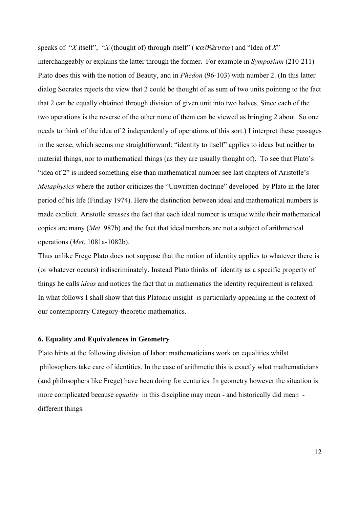speaks of "*X* itself", "*X* (thought of) through itself" ( $\kappa \alpha \vartheta \mathbb{Q} \alpha \nu \tau \omega$ ) and "Idea of *X*" interchangeably or explains the latter through the former. For example in *Symposium* (210-211) Plato does this with the notion of Beauty, and in *Phedon* (96-103) with number 2. (In this latter dialog Socrates rejects the view that 2 could be thought of as sum of two units pointing to the fact that 2 can be equally obtained through division of given unit into two halves. Since each of the two operations is the reverse of the other none of them can be viewed as bringing 2 about. So one needs to think of the idea of 2 independently of operations of this sort.) I interpret these passages in the sense, which seems me straightforward: "identity to itself" applies to ideas but neither to material things, nor to mathematical things (as they are usually thought of). To see that Plato's "idea of 2" is indeed something else than mathematical number see last chapters of Aristotle's *Metaphysics* where the author criticizes the "Unwritten doctrine" developed by Plato in the later period of his life (Findlay 1974). Here the distinction between ideal and mathematical numbers is made explicit. Aristotle stresses the fact that each ideal number is unique while their mathematical copies are many (*Met*. 987b) and the fact that ideal numbers are not a subject of arithmetical operations (*Met*. 1081a-1082b).

Thus unlike Frege Plato does not suppose that the notion of identity applies to whatever there is (or whatever occurs) indiscriminately. Instead Plato thinks of identity as a specific property of things he calls *ideas* and notices the fact that in mathematics the identity requirement is relaxed. In what follows I shall show that this Platonic insight is particularly appealing in the context of our contemporary Category-theoretic mathematics.

### **6. Equality and Equivalences in Geometry**

Plato hints at the following division of labor: mathematicians work on equalities whilst philosophers take care of identities. In the case of arithmetic this is exactly what mathematicians (and philosophers like Frege) have been doing for centuries. In geometry however the situation is more complicated because *equality* in this discipline may mean - and historically did mean different things.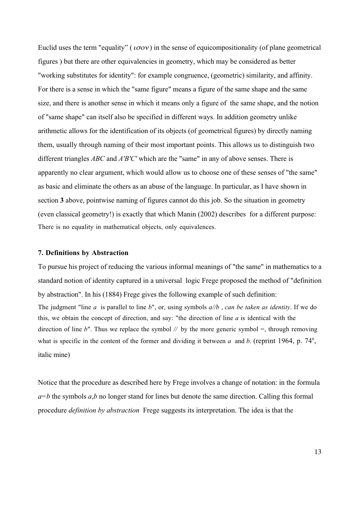Euclid uses the term "equality" ( $\iota \sigma \sigma \nu$ ) in the sense of equicompositionality (of plane geometrical figures ) but there are other equivalencies in geometry, which may be considered as better "working substitutes for identity": for example congruence, (geometric) similarity, and affinity. For there is a sense in which the "same figure" means a figure of the same shape and the same size, and there is another sense in which it means only a figure of the same shape, and the notion of "same shape" can itself also be specified in different ways. In addition geometry unlike arithmetic allows for the identification of its objects (of geometrical figures) by directly naming them, usually through naming of their most important points. This allows us to distinguish two different triangles *ABC* and *A'B'C'* which are the "same" in any of above senses. There is apparently no clear argument, which would allow us to choose one of these senses of "the same" as basic and eliminate the others as an abuse of the language. In particular, as I have shown in section **3** above, pointwise naming of figures cannot do this job. So the situation in geometry (even classical geometry!) is exactly that which Manin (2002) describes for a different purpose: There is no equality in mathematical objects, only equivalences.

#### **7. Definitions by Abstraction**

To pursue his project of reducing the various informal meanings of "the same" in mathematics to a standard notion of identity captured in a universal logic Frege proposed the method of "definition by abstraction". In his (1884) Frege gives the following example of such definition: The judgment "line *a* is parallel to line *b*", or, using symbols *a//b* , *can be taken as identity*. If we do this, we obtain the concept of direction, and say: "the direction of line *a* is identical with the direction of line *b*". Thus we replace the symbol *//* by the more generic symbol =, through removing what is specific in the content of the former and dividing it between  $a$  and  $b$ . (reprint 1964, p. 74<sup>e</sup>, italic mine)

Notice that the procedure as described here by Frege involves a change of notation: in the formula  $a=b$  the symbols  $a,b$  no longer stand for lines but denote the same direction. Calling this formal procedure *definition by abstraction* Frege suggests its interpretation. The idea is that the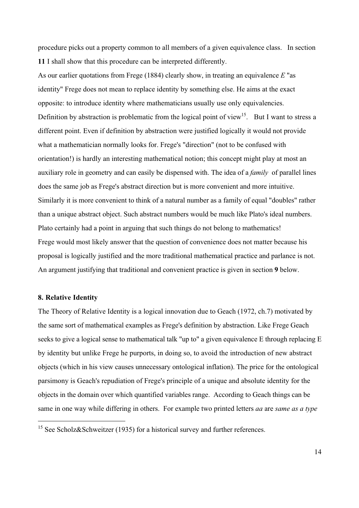procedure picks out a property common to all members of a given equivalence class. In section **11** I shall show that this procedure can be interpreted differently.

As our earlier quotations from Frege (1884) clearly show, in treating an equivalence *E* "as identity" Frege does not mean to replace identity by something else. He aims at the exact opposite: to introduce identity where mathematicians usually use only equivalencies. Definition by abstraction is problematic from the logical point of view<sup>15</sup>. But I want to stress a different point. Even if definition by abstraction were justified logically it would not provide what a mathematician normally looks for. Frege's "direction" (not to be confused with orientation!) is hardly an interesting mathematical notion; this concept might play at most an auxiliary role in geometry and can easily be dispensed with. The idea of a *family* of parallel lines does the same job as Frege's abstract direction but is more convenient and more intuitive. Similarly it is more convenient to think of a natural number as a family of equal "doubles" rather than a unique abstract object. Such abstract numbers would be much like Plato's ideal numbers. Plato certainly had a point in arguing that such things do not belong to mathematics! Frege would most likely answer that the question of convenience does not matter because his proposal is logically justified and the more traditional mathematical practice and parlance is not. An argument justifying that traditional and convenient practice is given in section **9** below.

#### **8. Relative Identity**

 $\overline{a}$ 

The Theory of Relative Identity is a logical innovation due to Geach (1972, ch.7) motivated by the same sort of mathematical examples as Frege's definition by abstraction. Like Frege Geach seeks to give a logical sense to mathematical talk "up to" a given equivalence E through replacing E by identity but unlike Frege he purports, in doing so, to avoid the introduction of new abstract objects (which in his view causes unnecessary ontological inflation). The price for the ontological parsimony is Geach's repudiation of Frege's principle of a unique and absolute identity for the objects in the domain over which quantified variables range. According to Geach things can be same in one way while differing in others. For example two printed letters *aa* are *same as a type*

<sup>&</sup>lt;sup>15</sup> See Scholz&Schweitzer (1935) for a historical survey and further references.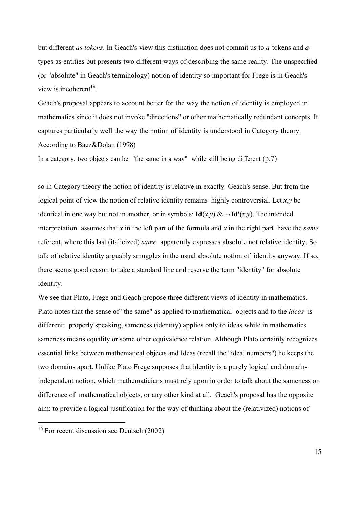but different *as tokens*. In Geach's view this distinction does not commit us to *a*-tokens and *a*types as entities but presents two different ways of describing the same reality. The unspecified (or "absolute" in Geach's terminology) notion of identity so important for Frege is in Geach's view is incoherent<sup>16</sup>.

Geach's proposal appears to account better for the way the notion of identity is employed in mathematics since it does not invoke "directions" or other mathematically redundant concepts. It captures particularly well the way the notion of identity is understood in Category theory. According to Baez&Dolan (1998)

In a category, two objects can be "the same in a way" while still being different  $(p.7)$ 

so in Category theory the notion of identity is relative in exactly Geach's sense. But from the logical point of view the notion of relative identity remains highly controversial. Let *x*,*y* be identical in one way but not in another, or in symbols:  $\mathbf{Id}(x,y) \& \neg \mathbf{Id}'(x,y)$ . The intended interpretation assumes that *x* in the left part of the formula and *x* in the right part have the *same* referent, where this last (italicized) *same* apparently expresses absolute not relative identity. So talk of relative identity arguably smuggles in the usual absolute notion of identity anyway. If so, there seems good reason to take a standard line and reserve the term "identity" for absolute identity.

We see that Plato, Frege and Geach propose three different views of identity in mathematics. Plato notes that the sense of "the same" as applied to mathematical objects and to the *ideas* is different: properly speaking, sameness (identity) applies only to ideas while in mathematics sameness means equality or some other equivalence relation. Although Plato certainly recognizes essential links between mathematical objects and Ideas (recall the "ideal numbers") he keeps the two domains apart. Unlike Plato Frege supposes that identity is a purely logical and domainindependent notion, which mathematicians must rely upon in order to talk about the sameness or difference of mathematical objects, or any other kind at all. Geach's proposal has the opposite aim: to provide a logical justification for the way of thinking about the (relativized) notions of

 $16$  For recent discussion see Deutsch (2002)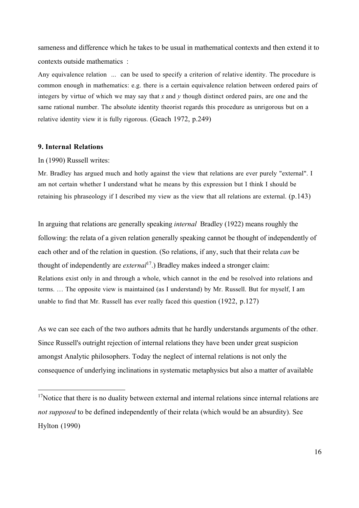sameness and difference which he takes to be usual in mathematical contexts and then extend it to contexts outside mathematics :

Any equivalence relation ... can be used to specify a criterion of relative identity. The procedure is common enough in mathematics: e.g. there is a certain equivalence relation between ordered pairs of integers by virtue of which we may say that *x* and *y* though distinct ordered pairs, are one and the same rational number. The absolute identity theorist regards this procedure as unrigorous but on a relative identity view it is fully rigorous. (Geach 1972, p.249)

#### **9. Internal Relations**

 $\overline{a}$ 

#### In (1990) Russell writes:

Mr. Bradley has argued much and hotly against the view that relations are ever purely "external". I am not certain whether I understand what he means by this expression but I think I should be retaining his phraseology if I described my view as the view that all relations are external. (p.143)

In arguing that relations are generally speaking *internal* Bradley (1922) means roughly the following: the relata of a given relation generally speaking cannot be thought of independently of each other and of the relation in question. (So relations, if any, such that their relata *can* be thought of independently are *external*<sup>17</sup>.) Bradley makes indeed a stronger claim: Relations exist only in and through a whole, which cannot in the end be resolved into relations and terms. … The opposite view is maintained (as I understand) by Mr. Russell. But for myself, I am unable to find that Mr. Russell has ever really faced this question (1922, p.127)

As we can see each of the two authors admits that he hardly understands arguments of the other. Since Russell's outright rejection of internal relations they have been under great suspicion amongst Analytic philosophers. Today the neglect of internal relations is not only the consequence of underlying inclinations in systematic metaphysics but also a matter of available

<sup>&</sup>lt;sup>17</sup>Notice that there is no duality between external and internal relations since internal relations are *not supposed* to be defined independently of their relata (which would be an absurdity). See Hylton (1990)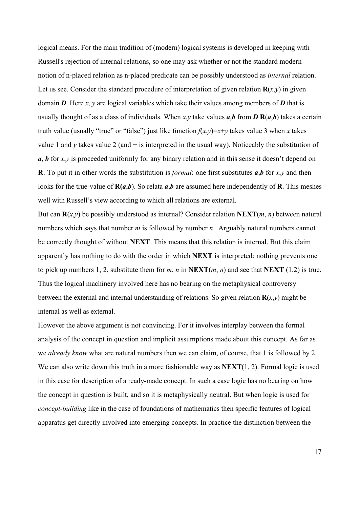logical means. For the main tradition of (modern) logical systems is developed in keeping with Russell's rejection of internal relations, so one may ask whether or not the standard modern notion of n-placed relation as n-placed predicate can be possibly understood as *internal* relation. Let us see. Consider the standard procedure of interpretation of given relation  $\mathbf{R}(x,y)$  in given domain *D*. Here *x*, *y* are logical variables which take their values among members of *D* that is usually thought of as a class of individuals. When *x*,*y* take values *a*,*b* from *D* **R**(*a*,*b*) takes a certain truth value (usually "true" or "false") just like function  $f(x,y)=x+y$  takes value 3 when *x* takes value 1 and  $\gamma$  takes value 2 (and  $+$  is interpreted in the usual way). Noticeably the substitution of *a*, *b* for *x*,*y* is proceeded uniformly for any binary relation and in this sense it doesn't depend on **R**. To put it in other words the substitution is *formal*: one first substitutes *a*,*b* for *x*,*y* and then looks for the true-value of **R(***a*,*b*). So relata *a*,*b* are assumed here independently of **R**. This meshes well with Russell's view according to which all relations are external.

But can  $\mathbf{R}(x,y)$  be possibly understood as internal? Consider relation  $\mathbf{NEXT}(m, n)$  between natural numbers which says that number *m* is followed by number *n*. Arguably natural numbers cannot be correctly thought of without **NEXT**. This means that this relation is internal. But this claim apparently has nothing to do with the order in which **NEXT** is interpreted: nothing prevents one to pick up numbers 1, 2, substitute them for  $m$ ,  $n$  in  $NEXT(m, n)$  and see that  $NEXT(1,2)$  is true. Thus the logical machinery involved here has no bearing on the metaphysical controversy between the external and internal understanding of relations. So given relation  $\mathbf{R}(x,y)$  might be internal as well as external.

However the above argument is not convincing. For it involves interplay between the formal analysis of the concept in question and implicit assumptions made about this concept. As far as we *already know* what are natural numbers then we can claim, of course, that 1 is followed by 2. We can also write down this truth in a more fashionable way as **NEXT**(1, 2). Formal logic is used in this case for description of a ready-made concept. In such a case logic has no bearing on how the concept in question is built, and so it is metaphysically neutral. But when logic is used for *concept-building* like in the case of foundations of mathematics then specific features of logical apparatus get directly involved into emerging concepts. In practice the distinction between the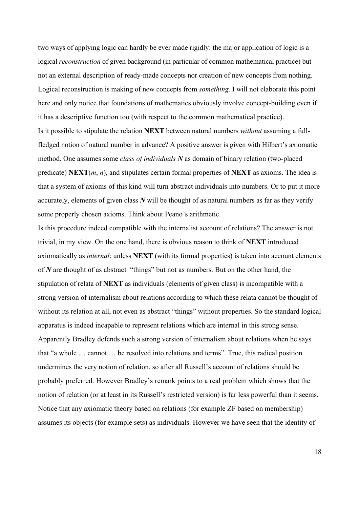two ways of applying logic can hardly be ever made rigidly: the major application of logic is a logical *reconstruction* of given background (in particular of common mathematical practice) but not an external description of ready-made concepts nor creation of new concepts from nothing. Logical reconstruction is making of new concepts from *something*. I will not elaborate this point here and only notice that foundations of mathematics obviously involve concept-building even if it has a descriptive function too (with respect to the common mathematical practice). Is it possible to stipulate the relation **NEXT** between natural numbers *without* assuming a fullfledged notion of natural number in advance? A positive answer is given with Hilbert's axiomatic method. One assumes some *class of individuals N* as domain of binary relation (two-placed predicate) **NEXT**(*m*, *n*), and stipulates certain formal properties of **NEXT** as axioms. The idea is that a system of axioms of this kind will turn abstract individuals into numbers. Or to put it more accurately, elements of given class *N* will be thought of as natural numbers as far as they verify some properly chosen axioms. Think about Peano's arithmetic.

Is this procedure indeed compatible with the internalist account of relations? The answer is not trivial, in my view. On the one hand, there is obvious reason to think of **NEXT** introduced axiomatically as *internal*: unless **NEXT** (with its formal properties) is taken into account elements of *N* are thought of as abstract "things" but not as numbers. But on the other hand, the stipulation of relata of **NEXT** as individuals (elements of given class) is incompatible with a strong version of internalism about relations according to which these relata cannot be thought of without its relation at all, not even as abstract "things" without properties. So the standard logical apparatus is indeed incapable to represent relations which are internal in this strong sense. Apparently Bradley defends such a strong version of internalism about relations when he says that "a whole … cannot … be resolved into relations and terms". True, this radical position undermines the very notion of relation, so after all Russell's account of relations should be probably preferred. However Bradley's remark points to a real problem which shows that the notion of relation (or at least in its Russell's restricted version) is far less powerful than it seems. Notice that any axiomatic theory based on relations (for example ZF based on membership) assumes its objects (for example sets) as individuals. However we have seen that the identity of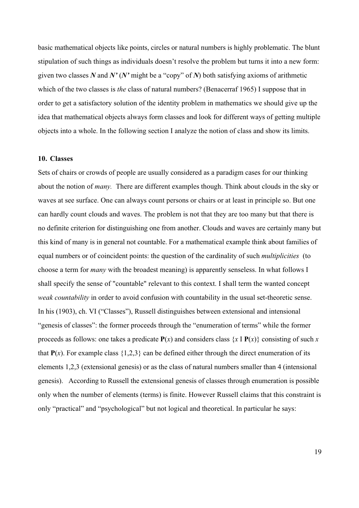basic mathematical objects like points, circles or natural numbers is highly problematic. The blunt stipulation of such things as individuals doesn't resolve the problem but turns it into a new form: given two classes *N* and *N'* (*N'* might be a "copy" of *N*) both satisfying axioms of arithmetic which of the two classes is *the* class of natural numbers? (Benacerraf 1965) I suppose that in order to get a satisfactory solution of the identity problem in mathematics we should give up the idea that mathematical objects always form classes and look for different ways of getting multiple objects into a whole. In the following section I analyze the notion of class and show its limits.

#### **10. Classes**

Sets of chairs or crowds of people are usually considered as a paradigm cases for our thinking about the notion of *many.* There are different examples though. Think about clouds in the sky or waves at see surface. One can always count persons or chairs or at least in principle so. But one can hardly count clouds and waves. The problem is not that they are too many but that there is no definite criterion for distinguishing one from another. Clouds and waves are certainly many but this kind of many is in general not countable. For a mathematical example think about families of equal numbers or of coincident points: the question of the cardinality of such *multiplicities* (to choose a term for *many* with the broadest meaning) is apparently senseless. In what follows I shall specify the sense of "countable" relevant to this context. I shall term the wanted concept *weak countability* in order to avoid confusion with countability in the usual set-theoretic sense. In his (1903), ch. VI ("Classes"), Russell distinguishes between extensional and intensional "genesis of classes": the former proceeds through the "enumeration of terms" while the former proceeds as follows: one takes a predicate  $P(x)$  and considers class  $\{x \mid P(x)\}$  consisting of such *x* that  $P(x)$ . For example class  $\{1,2,3\}$  can be defined either through the direct enumeration of its elements 1,2,3 (extensional genesis) or as the class of natural numbers smaller than 4 (intensional genesis). According to Russell the extensional genesis of classes through enumeration is possible only when the number of elements (terms) is finite. However Russell claims that this constraint is only "practical" and "psychological" but not logical and theoretical. In particular he says: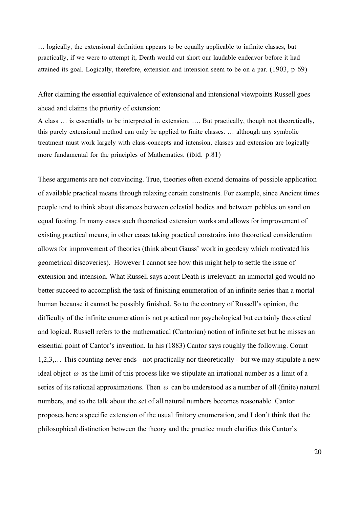… logically, the extensional definition appears to be equally applicable to infinite classes, but practically, if we were to attempt it, Death would cut short our laudable endeavor before it had attained its goal. Logically, therefore, extension and intension seem to be on a par. (1903, p 69)

After claiming the essential equivalence of extensional and intensional viewpoints Russell goes ahead and claims the priority of extension:

A class … is essentially to be interpreted in extension. …. But practically, though not theoretically, this purely extensional method can only be applied to finite classes. … although any symbolic treatment must work largely with class-concepts and intension, classes and extension are logically more fundamental for the principles of Mathematics. (ibid. p.81)

These arguments are not convincing. True, theories often extend domains of possible application of available practical means through relaxing certain constraints. For example, since Ancient times people tend to think about distances between celestial bodies and between pebbles on sand on equal footing. In many cases such theoretical extension works and allows for improvement of existing practical means; in other cases taking practical constrains into theoretical consideration allows for improvement of theories (think about Gauss' work in geodesy which motivated his geometrical discoveries). However I cannot see how this might help to settle the issue of extension and intension. What Russell says about Death is irrelevant: an immortal god would no better succeed to accomplish the task of finishing enumeration of an infinite series than a mortal human because it cannot be possibly finished. So to the contrary of Russell's opinion, the difficulty of the infinite enumeration is not practical nor psychological but certainly theoretical and logical. Russell refers to the mathematical (Cantorian) notion of infinite set but he misses an essential point of Cantor's invention. In his (1883) Cantor says roughly the following. Count 1,2,3,… This counting never ends - not practically nor theoretically - but we may stipulate a new ideal object  $\omega$  as the limit of this process like we stipulate an irrational number as a limit of a series of its rational approximations. Then  $\omega$  can be understood as a number of all (finite) natural numbers, and so the talk about the set of all natural numbers becomes reasonable. Cantor proposes here a specific extension of the usual finitary enumeration, and I don't think that the philosophical distinction between the theory and the practice much clarifies this Cantor's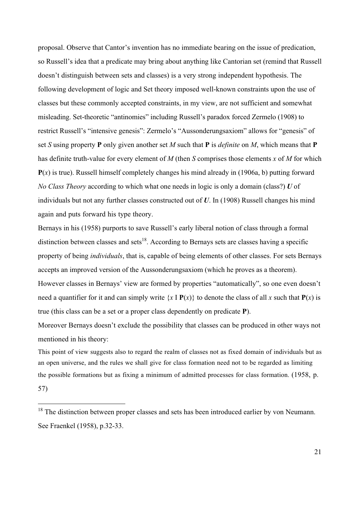proposal. Observe that Cantor's invention has no immediate bearing on the issue of predication, so Russell's idea that a predicate may bring about anything like Cantorian set (remind that Russell doesn't distinguish between sets and classes) is a very strong independent hypothesis. The following development of logic and Set theory imposed well-known constraints upon the use of classes but these commonly accepted constraints, in my view, are not sufficient and somewhat misleading. Set-theoretic "antinomies" including Russell's paradox forced Zermelo (1908) to restrict Russell's "intensive genesis": Zermelo's "Aussonderungsaxiom" allows for "genesis" of set *S* using property **P** only given another set *M* such that **P** is *definite* on *M*, which means that **P** has definite truth-value for every element of *M* (then *S* comprises those elements *x* of *M* for which  $P(x)$  is true). Russell himself completely changes his mind already in (1906a, b) putting forward *No Class Theory* according to which what one needs in logic is only a domain (class?) *U* of individuals but not any further classes constructed out of *U*. In (1908) Russell changes his mind again and puts forward his type theory.

Bernays in his (1958) purports to save Russell's early liberal notion of class through a formal distinction between classes and sets<sup>18</sup>. According to Bernays sets are classes having a specific property of being *individuals*, that is, capable of being elements of other classes. For sets Bernays accepts an improved version of the Aussonderungsaxiom (which he proves as a theorem). However classes in Bernays' view are formed by properties "automatically", so one even doesn't need a quantifier for it and can simply write  $\{x \mid P(x)\}\$  to denote the class of all x such that  $P(x)$  is true (this class can be a set or a proper class dependently on predicate **P**).

Moreover Bernays doesn't exclude the possibility that classes can be produced in other ways not mentioned in his theory:

This point of view suggests also to regard the realm of classes not as fixed domain of individuals but as an open universe, and the rules we shall give for class formation need not to be regarded as limiting the possible formations but as fixing a minimum of admitted processes for class formation. (1958, p. 57)

<sup>&</sup>lt;sup>18</sup> The distinction between proper classes and sets has been introduced earlier by von Neumann. See Fraenkel (1958), p.32-33.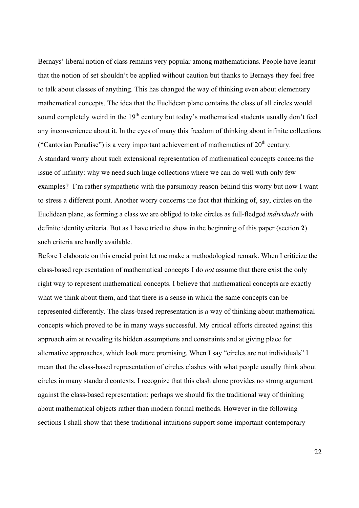Bernays' liberal notion of class remains very popular among mathematicians. People have learnt that the notion of set shouldn't be applied without caution but thanks to Bernays they feel free to talk about classes of anything. This has changed the way of thinking even about elementary mathematical concepts. The idea that the Euclidean plane contains the class of all circles would sound completely weird in the 19<sup>th</sup> century but today's mathematical students usually don't feel any inconvenience about it. In the eyes of many this freedom of thinking about infinite collections ("Cantorian Paradise") is a very important achievement of mathematics of  $20<sup>th</sup>$  century. A standard worry about such extensional representation of mathematical concepts concerns the issue of infinity: why we need such huge collections where we can do well with only few examples? I'm rather sympathetic with the parsimony reason behind this worry but now I want to stress a different point. Another worry concerns the fact that thinking of, say, circles on the Euclidean plane, as forming a class we are obliged to take circles as full-fledged *individuals* with definite identity criteria. But as I have tried to show in the beginning of this paper (section **2**) such criteria are hardly available.

Before I elaborate on this crucial point let me make a methodological remark. When I criticize the class-based representation of mathematical concepts I do *not* assume that there exist the only right way to represent mathematical concepts. I believe that mathematical concepts are exactly what we think about them, and that there is a sense in which the same concepts can be represented differently. The class-based representation is *a* way of thinking about mathematical concepts which proved to be in many ways successful. My critical efforts directed against this approach aim at revealing its hidden assumptions and constraints and at giving place for alternative approaches, which look more promising. When I say "circles are not individuals" I mean that the class-based representation of circles clashes with what people usually think about circles in many standard contexts. I recognize that this clash alone provides no strong argument against the class-based representation: perhaps we should fix the traditional way of thinking about mathematical objects rather than modern formal methods. However in the following sections I shall show that these traditional intuitions support some important contemporary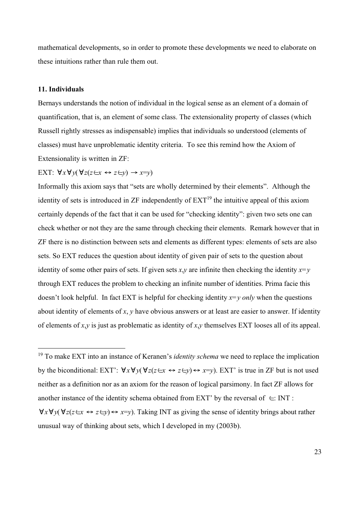mathematical developments, so in order to promote these developments we need to elaborate on these intuitions rather than rule them out.

## **11. Individuals**

 $\overline{a}$ 

Bernays understands the notion of individual in the logical sense as an element of a domain of quantification, that is, an element of some class. The extensionality property of classes (which Russell rightly stresses as indispensable) implies that individuals so understood (elements of classes) must have unproblematic identity criteria. To see this remind how the Axiom of Extensionality is written in ZF:

EXT: ∀*x*∀*y*(∀*z*(*z*∈*x* ↔ *z*∈*y*) → *x*=*y*)

Informally this axiom says that "sets are wholly determined by their elements". Although the identity of sets is introduced in  $ZF$  independently of  $EXT<sup>19</sup>$  the intuitive appeal of this axiom certainly depends of the fact that it can be used for "checking identity": given two sets one can check whether or not they are the same through checking their elements. Remark however that in ZF there is no distinction between sets and elements as different types: elements of sets are also sets. So EXT reduces the question about identity of given pair of sets to the question about identity of some other pairs of sets. If given sets  $x, y$  are infinite then checking the identity  $x=y$ through EXT reduces the problem to checking an infinite number of identities. Prima facie this doesn't look helpful. In fact EXT is helpful for checking identity *x=y only* when the questions about identity of elements of *x*, *y* have obvious answers or at least are easier to answer. If identity of elements of *x*,*y* is just as problematic as identity of *x*,*y* themselves EXT looses all of its appeal.

<sup>19</sup> To make EXT into an instance of Keranen's *identity schema* we need to replace the implication by the biconditional: EXT':  $\forall x \forall y (\forall z (z \in x \leftrightarrow z \in y) \leftrightarrow x = y)$ . EXT' is true in ZF but is not used neither as a definition nor as an axiom for the reason of logical parsimony. In fact ZF allows for another instance of the identity schema obtained from EXT' by the reversal of  $\in$ : INT :  $\forall x \forall y (\forall z (z \in x \leftrightarrow z \in y) \leftrightarrow x = y)$ . Taking INT as giving the sense of identity brings about rather unusual way of thinking about sets, which I developed in my (2003b).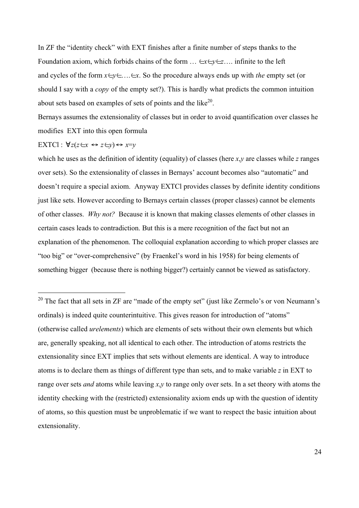In ZF the "identity check" with EXT finishes after a finite number of steps thanks to the Foundation axiom, which forbids chains of the form … ∈*x*∈*y*∈*z*…. infinite to the left and cycles of the form *x*∈*y*∈….∈*x*. So the procedure always ends up with *the* empty set (or should I say with a *copy* of the empty set?). This is hardly what predicts the common intuition about sets based on examples of sets of points and the like<sup>20</sup>.

Bernays assumes the extensionality of classes but in order to avoid quantification over classes he modifies EXT into this open formula

EXTCl : ∀*z*(*z*∈*x* ↔ *z*∈*y*)↔ *x*=*y*

 $\overline{a}$ 

which he uses as the definition of identity (equality) of classes (here *x*,*y* are classes while *z* ranges over sets). So the extensionality of classes in Bernays' account becomes also "automatic" and doesn't require a special axiom. Anyway EXTCl provides classes by definite identity conditions just like sets. However according to Bernays certain classes (proper classes) cannot be elements of other classes. *Why not?* Because it is known that making classes elements of other classes in certain cases leads to contradiction. But this is a mere recognition of the fact but not an explanation of the phenomenon. The colloquial explanation according to which proper classes are "too big" or "over-comprehensive" (by Fraenkel's word in his 1958) for being elements of something bigger (because there is nothing bigger?) certainly cannot be viewed as satisfactory.

<sup>&</sup>lt;sup>20</sup> The fact that all sets in ZF are "made of the empty set" (just like Zermelo's or von Neumann's ordinals) is indeed quite counterintuitive. This gives reason for introduction of "atoms" (otherwise called *urelements*) which are elements of sets without their own elements but which are, generally speaking, not all identical to each other. The introduction of atoms restricts the extensionality since EXT implies that sets without elements are identical. A way to introduce atoms is to declare them as things of different type than sets, and to make variable *z* in EXT to range over sets *and* atoms while leaving *x*,*y* to range only over sets. In a set theory with atoms the identity checking with the (restricted) extensionality axiom ends up with the question of identity of atoms, so this question must be unproblematic if we want to respect the basic intuition about extensionality.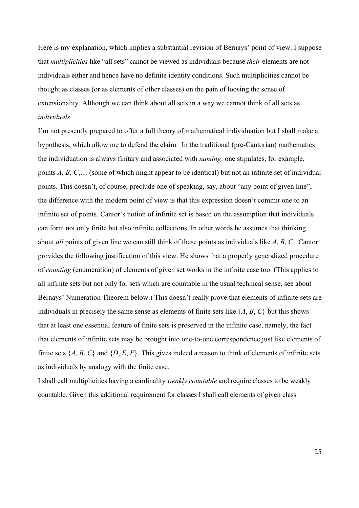Here is my explanation, which implies a substantial revision of Bernays' point of view. I suppose that *multiplicities* like "all sets" cannot be viewed as individuals because *their* elements are not individuals either and hence have no definite identity conditions. Such multiplicities cannot be thought as classes (or as elements of other classes) on the pain of loosing the sense of extensionality. Although we can think about all sets in a way we cannot think of all sets as *individuals*.

I'm not presently prepared to offer a full theory of mathematical individuation but I shall make a hypothesis, which allow me to defend the claim. In the traditional (pre-Cantorian) mathematics the individuation is always finitary and associated with *naming*: one stipulates, for example, points *A*, *B*, *C*,… (some of which might appear to be identical) but not an infinite set of individual points. This doesn't, of course, preclude one of speaking, say, about "any point of given line"; the difference with the modern point of view is that this expression doesn't commit one to an infinite set of points. Cantor's notion of infinite set is based on the assumption that individuals can form not only finite but also infinite collections. In other words he assumes that thinking about *all* points of given line we can still think of these points as individuals like *A*, *B*, *C*. Cantor provides the following justification of this view. He shows that a properly generalized procedure of *counting* (enumeration) of elements of given set works in the infinite case too. (This applies to all infinite sets but not only for sets which are countable in the usual technical sense, see about Bernays' Numeration Theorem below.) This doesn't really prove that elements of infinite sets are individuals in precisely the same sense as elements of finite sets like  $\{A, B, C\}$  but this shows that at least one essential feature of finite sets is preserved in the infinite case, namely, the fact that elements of infinite sets may be brought into one-to-one correspondence just like elements of finite sets  $\{A, B, C\}$  and  $\{D, E, F\}$ . This gives indeed a reason to think of elements of infinite sets as individuals by analogy with the finite case.

I shall call multiplicities having a cardinality *weakly countable* and require classes to be weakly countable. Given this additional requirement for classes I shall call elements of given class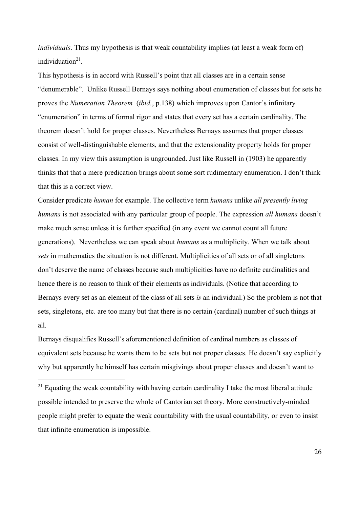*individuals*. Thus my hypothesis is that weak countability implies (at least a weak form of) individuation $21$ .

This hypothesis is in accord with Russell's point that all classes are in a certain sense "denumerable". Unlike Russell Bernays says nothing about enumeration of classes but for sets he proves the *Numeration Theorem* (*ibid.*, p.138) which improves upon Cantor's infinitary "enumeration" in terms of formal rigor and states that every set has a certain cardinality. The theorem doesn't hold for proper classes. Nevertheless Bernays assumes that proper classes consist of well-distinguishable elements, and that the extensionality property holds for proper classes. In my view this assumption is ungrounded. Just like Russell in (1903) he apparently thinks that that a mere predication brings about some sort rudimentary enumeration. I don't think that this is a correct view.

Consider predicate *human* for example. The collective term *humans* unlike *all presently living humans* is not associated with any particular group of people. The expression *all humans* doesn't make much sense unless it is further specified (in any event we cannot count all future generations). Nevertheless we can speak about *humans* as a multiplicity. When we talk about *sets* in mathematics the situation is not different. Multiplicities of all sets or of all singletons don't deserve the name of classes because such multiplicities have no definite cardinalities and hence there is no reason to think of their elements as individuals. (Notice that according to Bernays every set as an element of the class of all sets *is* an individual.) So the problem is not that sets, singletons, etc. are too many but that there is no certain (cardinal) number of such things at all.

Bernays disqualifies Russell's aforementioned definition of cardinal numbers as classes of equivalent sets because he wants them to be sets but not proper classes. He doesn't say explicitly why but apparently he himself has certain misgivings about proper classes and doesn't want to

 $21$  Equating the weak countability with having certain cardinality I take the most liberal attitude possible intended to preserve the whole of Cantorian set theory. More constructively-minded people might prefer to equate the weak countability with the usual countability, or even to insist that infinite enumeration is impossible.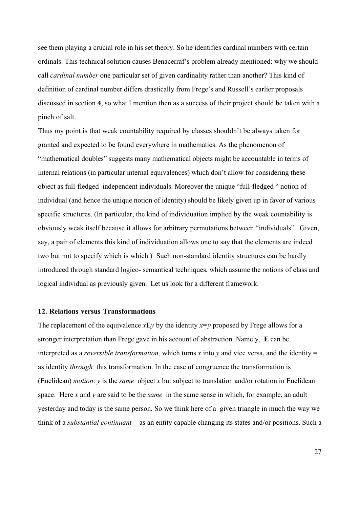see them playing a crucial role in his set theory. So he identifies cardinal numbers with certain ordinals. This technical solution causes Benacerraf's problem already mentioned: why we should call *cardinal number* one particular set of given cardinality rather than another? This kind of definition of cardinal number differs drastically from Frege's and Russell's earlier proposals discussed in section **4**, so what I mention then as a success of their project should be taken with a pinch of salt.

Thus my point is that weak countability required by classes shouldn't be always taken for granted and expected to be found everywhere in mathematics. As the phenomenon of "mathematical doubles" suggests many mathematical objects might be accountable in terms of internal relations (in particular internal equivalences) which don't allow for considering these object as full-fledged independent individuals. Moreover the unique "full-fledged " notion of individual (and hence the unique notion of identity) should be likely given up in favor of various specific structures. (In particular, the kind of individuation implied by the weak countability is obviously weak itself because it allows for arbitrary permutations between "individuals". Given, say, a pair of elements this kind of individuation allows one to say that the elements are indeed two but not to specify which is which.) Such non-standard identity structures can be hardly introduced through standard logico- semantical techniques, which assume the notions of class and logical individual as previously given. Let us look for a different framework.

#### **12. Relations versus Transformations**

The replacement of the equivalence  $x \mathbf{E} y$  by the identity  $x = y$  proposed by Frege allows for a stronger interpretation than Frege gave in his account of abstraction. Namely, **E** can be interpreted as a *reversible transformation*, which turns *x* into *y* and vice versa, and the identity = as identity *through* this transformation. In the case of congruence the transformation is (Euclidean) *motion*: *y* is the *same* object *x* but subject to translation and/or rotation in Euclidean space. Here *x* and *y* are said to be the *same* in the same sense in which, for example, an adult yesterday and today is the same person. So we think here of a given triangle in much the way we think of a *substantial continuant* - as an entity capable changing its states and/or positions. Such a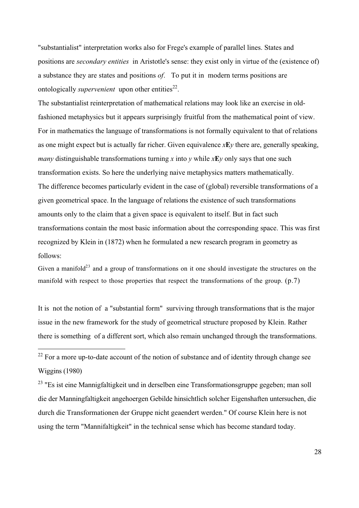"substantialist" interpretation works also for Frege's example of parallel lines. States and positions are *secondary entities* in Aristotle's sense: they exist only in virtue of the (existence of) a substance they are states and positions *of*. To put it in modern terms positions are ontologically *supervenient* upon other entities<sup>22</sup>.

The substantialist reinterpretation of mathematical relations may look like an exercise in oldfashioned metaphysics but it appears surprisingly fruitful from the mathematical point of view. For in mathematics the language of transformations is not formally equivalent to that of relations as one might expect but is actually far richer. Given equivalence *x***E***y* there are, generally speaking, *many* distinguishable transformations turning *x* into *y* while *x***E***y* only says that one such transformation exists. So here the underlying naive metaphysics matters mathematically. The difference becomes particularly evident in the case of (global) reversible transformations of a given geometrical space. In the language of relations the existence of such transformations amounts only to the claim that a given space is equivalent to itself. But in fact such transformations contain the most basic information about the corresponding space. This was first recognized by Klein in (1872) when he formulated a new research program in geometry as follows:

Given a manifold<sup>23</sup> and a group of transformations on it one should investigate the structures on the manifold with respect to those properties that respect the transformations of the group. (p.7)

It is not the notion of a "substantial form" surviving through transformations that is the major issue in the new framework for the study of geometrical structure proposed by Klein. Rather there is something of a different sort, which also remain unchanged through the transformations.

 $^{22}$  For a more up-to-date account of the notion of substance and of identity through change see Wiggins (1980)

 $\overline{a}$ 

<sup>23</sup> "Es ist eine Mannigfaltigkeit und in derselben eine Transformationsgruppe gegeben; man soll die der Manningfaltigkeit angehoergen Gebilde hinsichtlich solcher Eigenshaften untersuchen, die durch die Transformationen der Gruppe nicht geaendert werden." Of course Klein here is not using the term "Mannifaltigkeit" in the technical sense which has become standard today.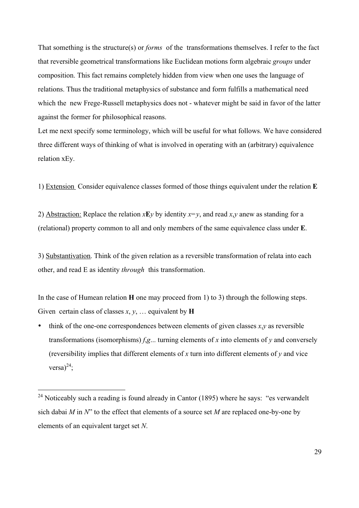That something is the structure(s) or *forms* of the transformations themselves. I refer to the fact that reversible geometrical transformations like Euclidean motions form algebraic *groups* under composition. This fact remains completely hidden from view when one uses the language of relations. Thus the traditional metaphysics of substance and form fulfills a mathematical need which the new Frege-Russell metaphysics does not - whatever might be said in favor of the latter against the former for philosophical reasons.

Let me next specify some terminology, which will be useful for what follows. We have considered three different ways of thinking of what is involved in operating with an (arbitrary) equivalence relation xEy.

1) Extension Consider equivalence classes formed of those things equivalent under the relation **E**

2) Abstraction: Replace the relation  $x \mathbf{E} y$  by identity  $x = y$ , and read  $x, y$  anew as standing for a (relational) property common to all and only members of the same equivalence class under **E**.

3) Substantivation. Think of the given relation as a reversible transformation of relata into each other, and read E as identity *through* this transformation.

In the case of Humean relation **H** one may proceed from 1) to 3) through the following steps. Given certain class of classes  $x, y, \ldots$  equivalent by **H** 

 $\bullet$  think of the one-one correspondences between elements of given classes  $x, y$  as reversible transformations (isomorphisms) *f*,*g*... turning elements of *x* into elements of *y* and conversely (reversibility implies that different elements of *x* turn into different elements of *y* and vice versa $)^{24}$ :

 $24$  Noticeably such a reading is found already in Cantor (1895) where he says: "es verwandelt sich dabai *M* in *N*" to the effect that elements of a source set *M* are replaced one-by-one by elements of an equivalent target set *N*.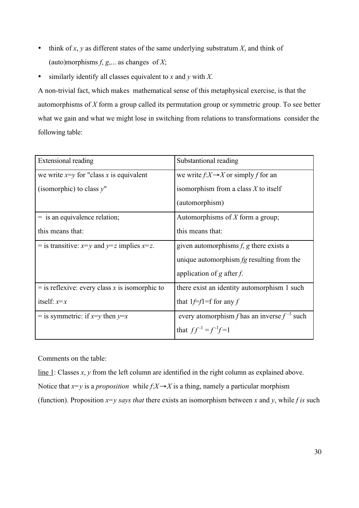- think of  $x$ ,  $y$  as different states of the same underlying substratum  $X$ , and think of (auto)morphisms *f*, *g*,... as changes of *X*;
- similarly identify all classes equivalent to *x* and *y* with *X*.

A non-trivial fact, which makes mathematical sense of this metaphysical exercise, is that the automorphisms of *X* form a group called its permutation group or symmetric group. To see better what we gain and what we might lose in switching from relations to transformations consider the following table:

| <b>Extensional reading</b>                       | Substantional reading                               |
|--------------------------------------------------|-----------------------------------------------------|
| we write $x=y$ for "class x is equivalent        | we write $f: X \rightarrow X$ or simply f for an    |
| (isomorphic) to class $y''$                      | isomorphism from a class $X$ to itself              |
|                                                  | (automorphism)                                      |
| $=$ is an equivalence relation;                  | Automorphisms of $X$ form a group;                  |
| this means that:                                 | this means that:                                    |
| = is transitive: $x=y$ and $y=z$ implies $x=z$ . | given automorphisms $f$ , $g$ there exists a        |
|                                                  | unique automorphism $fg$ resulting from the         |
|                                                  | application of g after $f$ .                        |
| $=$ is reflexive: every class x is isomorphic to | there exist an identity automorphism 1 such         |
| itself: $x=x$                                    | that 1 <i>f</i> = <i>f</i> 1=f for any <i>f</i>     |
| = is symmetric: if $x=y$ then $y=x$              | every atomorphism f has an inverse $f^{-1}$<br>such |
|                                                  | that $ff^{-1} = f^{-1}f = 1$                        |

Comments on the table:

line 1: Classes *x*, *y* from the left column are identified in the right column as explained above.

Notice that  $x=y$  is a *proposition* while  $f: X \rightarrow X$  is a thing, namely a particular morphism

(function). Proposition  $x=y$  *says that* there exists an isomorphism between *x* and *y*, while *f* is such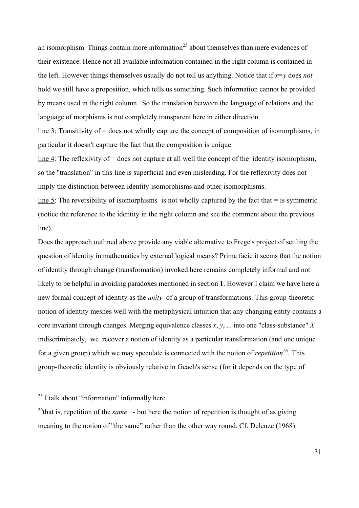an isomorphism. Things contain more information<sup>25</sup> about themselves than mere evidences of their existence. Hence not all available information contained in the right column is contained in the left. However things themselves usually do not tell us anything. Notice that if *x=y* does *not* hold we still have a proposition, which tells us something. Such information cannot be provided by means used in the right column. So the translation between the language of relations and the language of morphisms is not completely transparent here in either direction.

line 3: Transitivity of = does not wholly capture the concept of composition of isomorphisms, in particular it doesn't capture the fact that the composition is unique.

line 4: The reflexivity of  $=$  does not capture at all well the concept of the identity isomorphism, so the "translation" in this line is superficial and even misleading. For the reflexivity does not imply the distinction between identity isomorphisms and other isomorphisms.

line 5: The reversibility of isomorphisms is not wholly captured by the fact that  $=$  is symmetric (notice the reference to the identity in the right column and see the comment about the previous line).

Does the approach outlined above provide any viable alternative to Frege's project of settling the question of identity in mathematics by external logical means? Prima facie it seems that the notion of identity through change (transformation) invoked here remains completely informal and not likely to be helpful in avoiding paradoxes mentioned in section **1**. However I claim we have here a new formal concept of identity as the *unity* of a group of transformations. This group-theoretic notion of identity meshes well with the metaphysical intuition that any changing entity contains a core invariant through changes. Merging equivalence classes *x*, *y*, ... into one "class-substance" *X* indiscriminately, we recover a notion of identity as a particular transformation (and one unique for a given group) which we may speculate is connected with the notion of *repetition<sup>26</sup>*. This group-theoretic identity is obviously relative in Geach's sense (for it depends on the type of

 $25$  I talk about "information" informally here.

<sup>&</sup>lt;sup>26</sup>that is, repetition of the *same* - but here the notion of repetition is thought of as giving meaning to the notion of "the same" rather than the other way round. Cf. Deleuze (1968).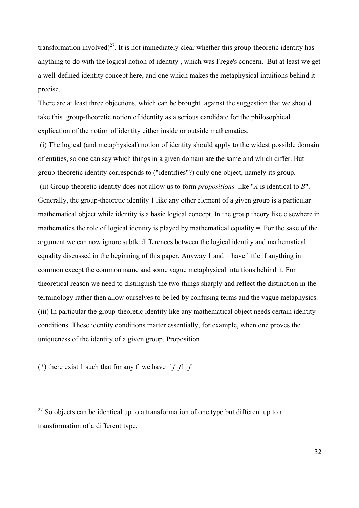transformation involved)<sup>27</sup>. It is not immediately clear whether this group-theoretic identity has anything to do with the logical notion of identity , which was Frege's concern. But at least we get a well-defined identity concept here, and one which makes the metaphysical intuitions behind it precise.

There are at least three objections, which can be brought against the suggestion that we should take this group-theoretic notion of identity as a serious candidate for the philosophical explication of the notion of identity either inside or outside mathematics.

(i) The logical (and metaphysical) notion of identity should apply to the widest possible domain of entities, so one can say which things in a given domain are the same and which differ. But group-theoretic identity corresponds to ("identifies"?) only one object, namely its group.

 (ii) Group-theoretic identity does not allow us to form *propositions* like "*A* is identical to *B*". Generally, the group-theoretic identity 1 like any other element of a given group is a particular mathematical object while identity is a basic logical concept. In the group theory like elsewhere in mathematics the role of logical identity is played by mathematical equality =. For the sake of the argument we can now ignore subtle differences between the logical identity and mathematical equality discussed in the beginning of this paper. Anyway 1 and = have little if anything in common except the common name and some vague metaphysical intuitions behind it. For theoretical reason we need to distinguish the two things sharply and reflect the distinction in the terminology rather then allow ourselves to be led by confusing terms and the vague metaphysics. (iii) In particular the group-theoretic identity like any mathematical object needs certain identity conditions. These identity conditions matter essentially, for example, when one proves the uniqueness of the identity of a given group. Proposition

(\*) there exist 1 such that for any f we have  $1f=f-f$ 

 $27$  So objects can be identical up to a transformation of one type but different up to a transformation of a different type.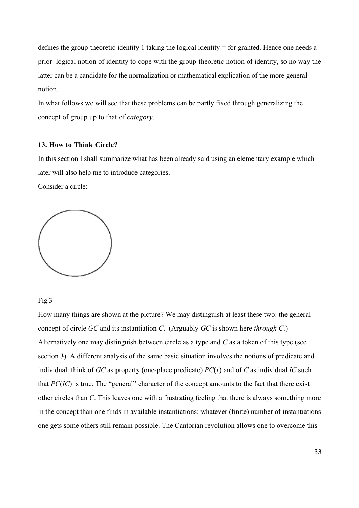defines the group-theoretic identity 1 taking the logical identity = for granted. Hence one needs a prior logical notion of identity to cope with the group-theoretic notion of identity, so no way the latter can be a candidate for the normalization or mathematical explication of the more general notion.

In what follows we will see that these problems can be partly fixed through generalizing the concept of group up to that of *category*.

### **13. How to Think Circle?**

In this section I shall summarize what has been already said using an elementary example which later will also help me to introduce categories.

Consider a circle:



Fig.3

How many things are shown at the picture? We may distinguish at least these two: the general concept of circle *GC* and its instantiation *C*. (Arguably *GC* is shown here *through C*.) Alternatively one may distinguish between circle as a type and *C* as a token of this type (see section **3)**. A different analysis of the same basic situation involves the notions of predicate and individual: think of *GC* as property (one-place predicate) *PC*(*x*) and of *C* as individual *IC* such that *PC*(*IC*) is true. The "general" character of the concept amounts to the fact that there exist other circles than *C*. This leaves one with a frustrating feeling that there is always something more in the concept than one finds in available instantiations: whatever (finite) number of instantiations one gets some others still remain possible. The Cantorian revolution allows one to overcome this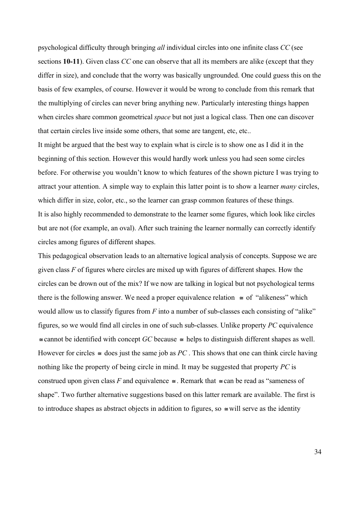psychological difficulty through bringing *all* individual circles into one infinite class *CC* (see sections **10-11**). Given class *CC* one can observe that all its members are alike (except that they differ in size), and conclude that the worry was basically ungrounded. One could guess this on the basis of few examples, of course. However it would be wrong to conclude from this remark that the multiplying of circles can never bring anything new. Particularly interesting things happen when circles share common geometrical *space* but not just a logical class. Then one can discover that certain circles live inside some others, that some are tangent, etc, etc..

It might be argued that the best way to explain what is circle is to show one as I did it in the beginning of this section. However this would hardly work unless you had seen some circles before. For otherwise you wouldn't know to which features of the shown picture I was trying to attract your attention. A simple way to explain this latter point is to show a learner *many* circles, which differ in size, color, etc., so the learner can grasp common features of these things. It is also highly recommended to demonstrate to the learner some figures, which look like circles but are not (for example, an oval). After such training the learner normally can correctly identify circles among figures of different shapes.

This pedagogical observation leads to an alternative logical analysis of concepts. Suppose we are given class *F* of figures where circles are mixed up with figures of different shapes. How the circles can be drown out of the mix? If we now are talking in logical but not psychological terms there is the following answer. We need a proper equivalence relation  $\approx$  of "alikeness" which would allow us to classify figures from *F* into a number of sub-classes each consisting of "alike" figures, so we would find all circles in one of such sub-classes. Unlike property *PC* equivalence  $\equiv$  cannot be identified with concept *GC* because  $\equiv$  helps to distinguish different shapes as well. However for circles  $\cong$  does just the same job as *PC*. This shows that one can think circle having nothing like the property of being circle in mind. It may be suggested that property *PC* is construed upon given class *F* and equivalence  $\leq$ . Remark that  $\leq$  can be read as "sameness of shape". Two further alternative suggestions based on this latter remark are available. The first is to introduce shapes as abstract objects in addition to figures, so  $\approx$  will serve as the identity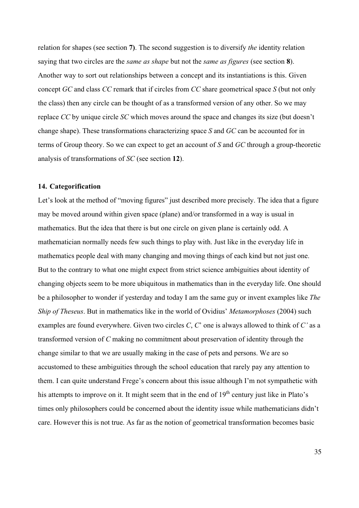relation for shapes (see section **7)**. The second suggestion is to diversify *the* identity relation saying that two circles are the *same as shape* but not the *same as figures* (see section **8**). Another way to sort out relationships between a concept and its instantiations is this. Given concept *GC* and class *CC* remark that if circles from *CC* share geometrical space *S* (but not only the class) then any circle can be thought of as a transformed version of any other. So we may replace *CC* by unique circle *SC* which moves around the space and changes its size (but doesn't change shape). These transformations characterizing space *S* and *GC* can be accounted for in terms of Group theory. So we can expect to get an account of *S* and *GC* through a group-theoretic analysis of transformations of *SC* (see section **12**).

#### **14. Categorification**

Let's look at the method of "moving figures" just described more precisely. The idea that a figure may be moved around within given space (plane) and/or transformed in a way is usual in mathematics. But the idea that there is but one circle on given plane is certainly odd. A mathematician normally needs few such things to play with. Just like in the everyday life in mathematics people deal with many changing and moving things of each kind but not just one. But to the contrary to what one might expect from strict science ambiguities about identity of changing objects seem to be more ubiquitous in mathematics than in the everyday life. One should be a philosopher to wonder if yesterday and today I am the same guy or invent examples like *The Ship of Theseus*. But in mathematics like in the world of Ovidius' *Metamorphoses* (2004) such examples are found everywhere. Given two circles *C*, *C*' one is always allowed to think of *C'* as a transformed version of *C* making no commitment about preservation of identity through the change similar to that we are usually making in the case of pets and persons. We are so accustomed to these ambiguities through the school education that rarely pay any attention to them. I can quite understand Frege's concern about this issue although I'm not sympathetic with his attempts to improve on it. It might seem that in the end of 19<sup>th</sup> century just like in Plato's times only philosophers could be concerned about the identity issue while mathematicians didn't care. However this is not true. As far as the notion of geometrical transformation becomes basic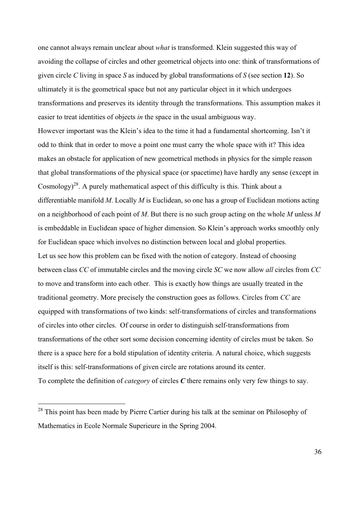one cannot always remain unclear about *what* is transformed. Klein suggested this way of avoiding the collapse of circles and other geometrical objects into one: think of transformations of given circle *C* living in space *S* as induced by global transformations of *S* (see section **12**). So ultimately it is the geometrical space but not any particular object in it which undergoes transformations and preserves its identity through the transformations. This assumption makes it easier to treat identities of objects *in* the space in the usual ambiguous way.

However important was the Klein's idea to the time it had a fundamental shortcoming. Isn't it odd to think that in order to move a point one must carry the whole space with it? This idea makes an obstacle for application of new geometrical methods in physics for the simple reason that global transformations of the physical space (or spacetime) have hardly any sense (except in  $\cosmology)^{28}$ . A purely mathematical aspect of this difficulty is this. Think about a differentiable manifold *M*. Locally *M* is Euclidean, so one has a group of Euclidean motions acting on a neighborhood of each point of *M*. But there is no such group acting on the whole *M* unless *M* is embeddable in Euclidean space of higher dimension. So Klein's approach works smoothly only for Euclidean space which involves no distinction between local and global properties. Let us see how this problem can be fixed with the notion of category. Instead of choosing between class *CC* of immutable circles and the moving circle *SC* we now allow *all* circles from *CC* to move and transform into each other. This is exactly how things are usually treated in the traditional geometry. More precisely the construction goes as follows. Circles from *CC* are equipped with transformations of two kinds: self-transformations of circles and transformations of circles into other circles. Of course in order to distinguish self-transformations from transformations of the other sort some decision concerning identity of circles must be taken. So there is a space here for a bold stipulation of identity criteria. A natural choice, which suggests itself is this: self-transformations of given circle are rotations around its center. To complete the definition of *category* of circles *C* there remains only very few things to say.

 $28$  This point has been made by Pierre Cartier during his talk at the seminar on Philosophy of Mathematics in Ecole Normale Superieure in the Spring 2004.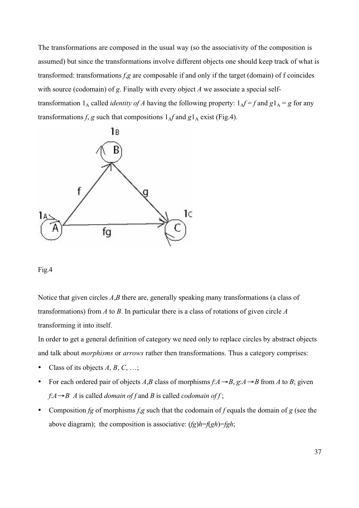The transformations are composed in the usual way (so the associativity of the composition is assumed) but since the transformations involve different objects one should keep track of what is transformed: transformations *f*,*g* are composable if and only if the target (domain) of f coincides with source (codomain) of *g*. Finally with every object *A* we associate a special selftransformation  $1_A$  called *identity of A* having the following property:  $1_A f = f$  and  $g1_A = g$  for any transformations *f*, *g* such that compositions  $1_A f$  and  $g1_A$  exist (Fig.4).



### Fig.4

Notice that given circles *A*,*B* there are, generally speaking many transformations (a class of transformations) from *A* to *B*. In particular there is a class of rotations of given circle *A* transforming it into itself.

In order to get a general definition of category we need only to replace circles by abstract objects and talk about *morphisms* or *arrows* rather then transformations. Thus a category comprises:

- Class of its objects *A*, *B*, *C*, …;
- For each ordered pair of objects *A*,*B* class of morphisms  $f: A \rightarrow B$ ,  $g: A \rightarrow B$  from *A* to *B*; given  $f:A \rightarrow B$  *A* is called *domain of*  $f$  and  $B$  is called *codomain of*  $f$ ;
- Composition *fg* of morphisms *f*,*g* such that the codomain of *f* equals the domain of *g* (see the above diagram); the composition is associative: (*fg*)*h*=*f*(*gh*)=*fgh*;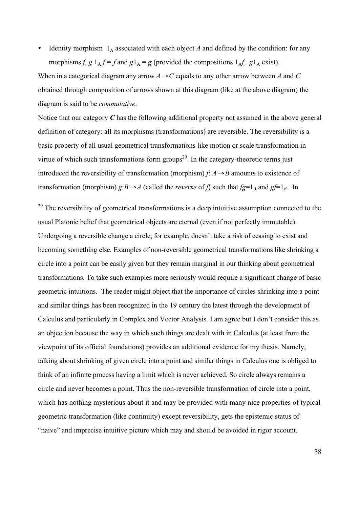• Identity morphism  $1_A$  associated with each object  $A$  and defined by the condition: for any morphisms *f*,  $g \, 1_A f = f$  and  $g1_A = g$  (provided the compositions  $1_A f$ ,  $g1_A$  exist).

When in a categorical diagram any arrow  $A \rightarrow C$  equals to any other arrow between *A* and *C* obtained through composition of arrows shown at this diagram (like at the above diagram) the diagram is said to be *commutative*.

Notice that our category *C* has the following additional property not assumed in the above general definition of category: all its morphisms (transformations) are reversible. The reversibility is a basic property of all usual geometrical transformations like motion or scale transformation in virtue of which such transformations form groups<sup>29</sup>. In the category-theoretic terms just introduced the reversibility of transformation (morphism)  $f: A \rightarrow B$  amounts to existence of transformation (morphism) *g*:*B*  $\rightarrow$ *A* (called the *reverse* of *f*) such that  $fg=1_A$  and  $gf=1_B$ . In

 $\overline{a}$ 

 $29$  The reversibility of geometrical transformations is a deep intuitive assumption connected to the usual Platonic belief that geometrical objects are eternal (even if not perfectly immutable). Undergoing a reversible change a circle, for example, doesn't take a risk of ceasing to exist and becoming something else. Examples of non-reversible geometrical transformations like shrinking a circle into a point can be easily given but they remain marginal in our thinking about geometrical transformations. To take such examples more seriously would require a significant change of basic geometric intuitions. The reader might object that the importance of circles shrinking into a point and similar things has been recognized in the 19 century the latest through the development of Calculus and particularly in Complex and Vector Analysis. I am agree but I don't consider this as an objection because the way in which such things are dealt with in Calculus (at least from the viewpoint of its official foundations) provides an additional evidence for my thesis. Namely, talking about shrinking of given circle into a point and similar things in Calculus one is obliged to think of an infinite process having a limit which is never achieved. So circle always remains a circle and never becomes a point. Thus the non-reversible transformation of circle into a point, which has nothing mysterious about it and may be provided with many nice properties of typical geometric transformation (like continuity) except reversibility, gets the epistemic status of "naive" and imprecise intuitive picture which may and should be avoided in rigor account.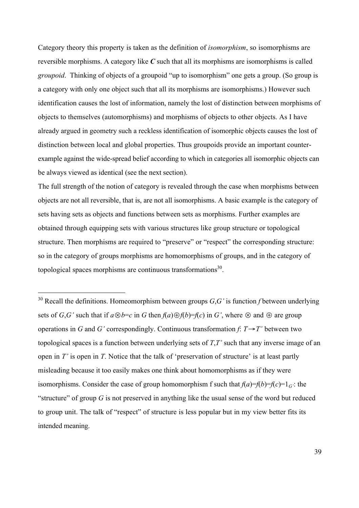Category theory this property is taken as the definition of *isomorphism*, so isomorphisms are reversible morphisms. A category like *C* such that all its morphisms are isomorphisms is called *groupoid*. Thinking of objects of a groupoid "up to isomorphism" one gets a group. (So group is a category with only one object such that all its morphisms are isomorphisms.) However such identification causes the lost of information, namely the lost of distinction between morphisms of objects to themselves (automorphisms) and morphisms of objects to other objects. As I have already argued in geometry such a reckless identification of isomorphic objects causes the lost of distinction between local and global properties. Thus groupoids provide an important counterexample against the wide-spread belief according to which in categories all isomorphic objects can be always viewed as identical (see the next section).

The full strength of the notion of category is revealed through the case when morphisms between objects are not all reversible, that is, are not all isomorphisms. A basic example is the category of sets having sets as objects and functions between sets as morphisms. Further examples are obtained through equipping sets with various structures like group structure or topological structure. Then morphisms are required to "preserve" or "respect" the corresponding structure: so in the category of groups morphisms are homomorphisms of groups, and in the category of topological spaces morphisms are continuous transformations $30$ .

<sup>30</sup> Recall the definitions. Homeomorphism between groups *G*,*G'* is function *f* between underlying sets of *G*,*G*' such that if  $a \otimes b = c$  in *G* then  $f(a) \oplus f(b) = f(c)$  in *G*', where  $\otimes$  and  $\oplus$  are group operations in *G* and *G'* correspondingly. Continuous transformation *f*:  $T \rightarrow T'$  between two topological spaces is a function between underlying sets of *T*,*T'* such that any inverse image of an open in *T'* is open in *T*. Notice that the talk of 'preservation of structure' is at least partly misleading because it too easily makes one think about homomorphisms as if they were isomorphisms. Consider the case of group homomorphism f such that  $f(a)=f(b)=f(c)=1$ <sub>G</sub>: the "structure" of group *G* is not preserved in anything like the usual sense of the word but reduced to group unit. The talk of "respect" of structure is less popular but in my view better fits its intended meaning.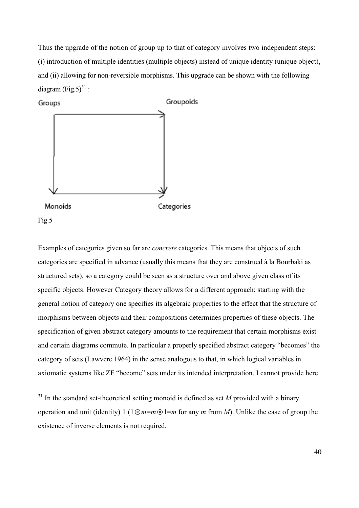Thus the upgrade of the notion of group up to that of category involves two independent steps: (i) introduction of multiple identities (multiple objects) instead of unique identity (unique object), and (ii) allowing for non-reversible morphisms. This upgrade can be shown with the following diagram  $(Fig.5)^{31}$  :





<sup>&</sup>lt;sup>31</sup> In the standard set-theoretical setting monoid is defined as set M provided with a binary operation and unit (identity) 1 (1⊗*m*=*m*⊗1=*m* for any *m* from *M*). Unlike the case of group the existence of inverse elements is not required.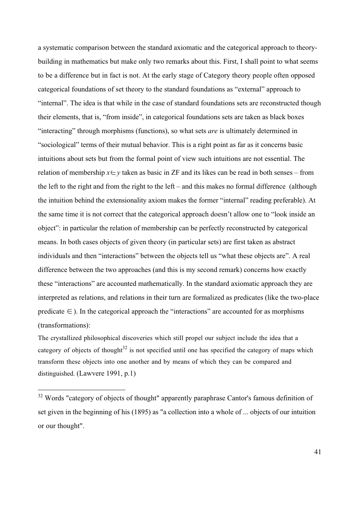a systematic comparison between the standard axiomatic and the categorical approach to theorybuilding in mathematics but make only two remarks about this. First, I shall point to what seems to be a difference but in fact is not. At the early stage of Category theory people often opposed categorical foundations of set theory to the standard foundations as "external" approach to "internal". The idea is that while in the case of standard foundations sets are reconstructed though their elements, that is, "from inside", in categorical foundations sets are taken as black boxes "interacting" through morphisms (functions), so what sets *are* is ultimately determined in "sociological" terms of their mutual behavior. This is a right point as far as it concerns basic intuitions about sets but from the formal point of view such intuitions are not essential. The relation of membership  $x \in y$  taken as basic in ZF and its likes can be read in both senses – from the left to the right and from the right to the left – and this makes no formal difference (although the intuition behind the extensionality axiom makes the former "internal" reading preferable). At the same time it is not correct that the categorical approach doesn't allow one to "look inside an object": in particular the relation of membership can be perfectly reconstructed by categorical means. In both cases objects of given theory (in particular sets) are first taken as abstract individuals and then "interactions" between the objects tell us "what these objects are". A real difference between the two approaches (and this is my second remark) concerns how exactly these "interactions" are accounted mathematically. In the standard axiomatic approach they are interpreted as relations, and relations in their turn are formalized as predicates (like the two-place predicate  $\in$ ). In the categorical approach the "interactions" are accounted for as morphisms (transformations):

The crystallized philosophical discoveries which still propel our subject include the idea that a category of objects of thought<sup>32</sup> is not specified until one has specified the category of maps which transform these objects into one another and by means of which they can be compared and distinguished. (Lawvere 1991, p.1)

<sup>&</sup>lt;sup>32</sup> Words "category of objects of thought" apparently paraphrase Cantor's famous definition of set given in the beginning of his (1895) as "a collection into a whole of ... objects of our intuition or our thought".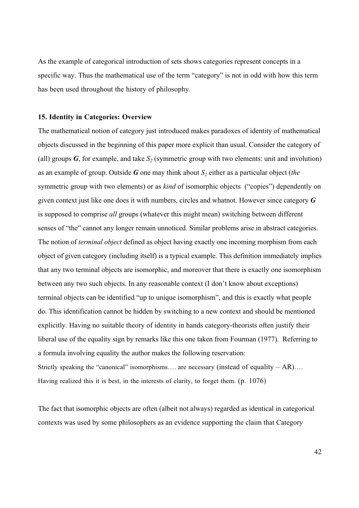As the example of categorical introduction of sets shows categories represent concepts in a specific way. Thus the mathematical use of the term "category" is not in odd with how this term has been used throughout the history of philosophy.

#### **15. Identity in Categories: Overview**

The mathematical notion of category just introduced makes paradoxes of identity of mathematical objects discussed in the beginning of this paper more explicit than usual. Consider the category of (all) groups  $G$ , for example, and take  $S_2$  (symmetric group with two elements: unit and involution) as an example of group. Outside  $G$  one may think about  $S_2$  either as a particular object (*the* symmetric group with two elements) or as *kind* of isomorphic objects ("copies") dependently on given context just like one does it with numbers, circles and whatnot. However since category *G* is supposed to comprise *all* groups (whatever this might mean) switching between different senses of "the" cannot any longer remain unnoticed. Similar problems arise in abstract categories. The notion of *terminal object* defined as object having exactly one incoming morphism from each object of given category (including itself) is a typical example. This definition immediately implies that any two terminal objects are isomorphic, and moreover that there is exactly one isomorphism between any two such objects. In any reasonable context (I don't know about exceptions) terminal objects can be identified "up to unique isomorphism", and this is exactly what people do. This identification cannot be hidden by switching to a new context and should be mentioned explicitly. Having no suitable theory of identity in hands category-theorists often justify their liberal use of the equality sign by remarks like this one taken from Fourman (1977). Referring to a formula involving equality the author makes the following reservation: Strictly speaking the "canonical" isomorphisms.... are necessary (instead of equality  $- AR$ ).... Having realized this it is best, in the interests of clarity, to forget them. (p. 1076)

The fact that isomorphic objects are often (albeit not always) regarded as identical in categorical contexts was used by some philosophers as an evidence supporting the claim that Category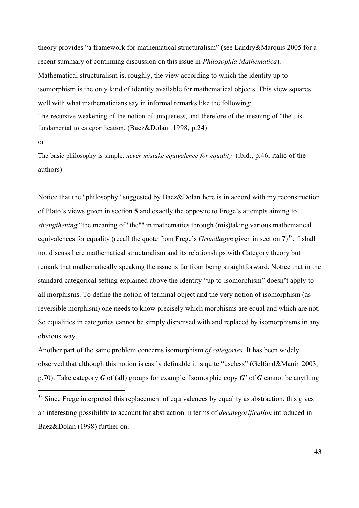theory provides "a framework for mathematical structuralism" (see Landry&Marquis 2005 for a recent summary of continuing discussion on this issue in *Philosophia Mathematica*). Mathematical structuralism is, roughly, the view according to which the identity up to isomorphism is the only kind of identity available for mathematical objects. This view squares well with what mathematicians say in informal remarks like the following: The recursive weakening of the notion of uniqueness, and therefore of the meaning of "the", is fundamental to categorification. (Baez&Dolan 1998, p.24) or

The basic philosophy is simple: *never mistake equivalence for equality* (ibid., p.46, italic of the authors)

Notice that the "philosophy" suggested by Baez&Dolan here is in accord with my reconstruction of Plato's views given in section **5** and exactly the opposite to Frege's attempts aiming to *strengthening* "the meaning of "the"" in mathematics through (mis)taking various mathematical equivalences for equality (recall the quote from Frege's *Grundlagen* given in section **7**) 33. I shall not discuss here mathematical structuralism and its relationships with Category theory but remark that mathematically speaking the issue is far from being straightforward. Notice that in the standard categorical setting explained above the identity "up to isomorphism" doesn't apply to all morphisms. To define the notion of terminal object and the very notion of isomorphism (as reversible morphism) one needs to know precisely which morphisms are equal and which are not. So equalities in categories cannot be simply dispensed with and replaced by isomorphisms in any obvious way.

Another part of the same problem concerns isomorphism *of categories*. It has been widely observed that although this notion is easily definable it is quite "useless" (Gelfand&Manin 2003, p.70). Take category *G* of (all) groups for example. Isomorphic copy *G'* of *G* cannot be anything

<sup>&</sup>lt;sup>33</sup> Since Frege interpreted this replacement of equivalences by equality as abstraction, this gives an interesting possibility to account for abstraction in terms of *decategorification* introduced in Baez&Dolan (1998) further on.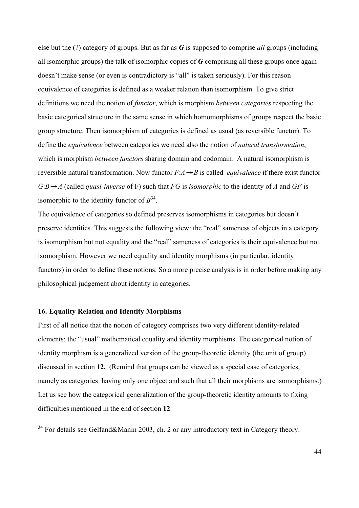else but the (?) category of groups. But as far as *G* is supposed to comprise *all* groups (including all isomorphic groups) the talk of isomorphic copies of *G* comprising all these groups once again doesn't make sense (or even is contradictory is "all" is taken seriously). For this reason equivalence of categories is defined as a weaker relation than isomorphism. To give strict definitions we need the notion of *functor*, which is morphism *between categories* respecting the basic categorical structure in the same sense in which homomorphisms of groups respect the basic group structure. Then isomorphism of categories is defined as usual (as reversible functor). To define the *equivalence* between categories we need also the notion of *natural transformation*, which is morphism *between functors* sharing domain and codomain*.* A natural isomorphism is reversible natural transformation. Now functor  $F:A \rightarrow B$  is called *equivalence* if there exist functor  $G:B \rightarrow A$  (called *quasi-inverse* of F) such that *FG* is *isomorphic* to the identity of *A* and *GF* is isomorphic to the identity functor of  $B^{34}$ .

The equivalence of categories so defined preserves isomorphisms in categories but doesn't preserve identities. This suggests the following view: the "real" sameness of objects in a category is isomorphism but not equality and the "real" sameness of categories is their equivalence but not isomorphism. However we need equality and identity morphisms (in particular, identity functors) in order to define these notions. So a more precise analysis is in order before making any philosophical judgement about identity in categories.

### **16. Equality Relation and Identity Morphisms**

 $\overline{a}$ 

First of all notice that the notion of category comprises two very different identity-related elements: the "usual" mathematical equality and identity morphisms. The categorical notion of identity morphism is a generalized version of the group-theoretic identity (the unit of group) discussed in section **12.** (Remind that groups can be viewed as a special case of categories, namely as categories having only one object and such that all their morphisms are isomorphisms.) Let us see how the categorical generalization of the group-theoretic identity amounts to fixing difficulties mentioned in the end of section **12**.

 $34$  For details see Gelfand&Manin 2003, ch. 2 or any introductory text in Category theory.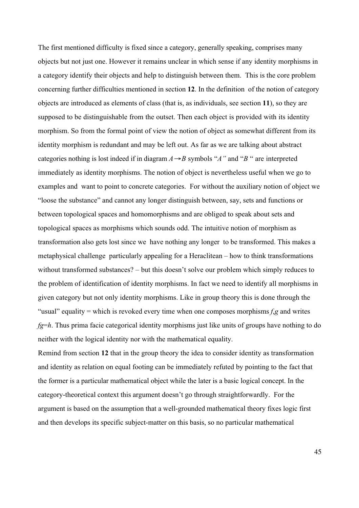The first mentioned difficulty is fixed since a category, generally speaking, comprises many objects but not just one. However it remains unclear in which sense if any identity morphisms in a category identify their objects and help to distinguish between them. This is the core problem concerning further difficulties mentioned in section **12**. In the definition of the notion of category objects are introduced as elements of class (that is, as individuals, see section **11**), so they are supposed to be distinguishable from the outset. Then each object is provided with its identity morphism. So from the formal point of view the notion of object as somewhat different from its identity morphism is redundant and may be left out. As far as we are talking about abstract categories nothing is lost indeed if in diagram  $A \rightarrow B$  symbols " $A$ " and " $B$ " are interpreted immediately as identity morphisms. The notion of object is nevertheless useful when we go to examples and want to point to concrete categories. For without the auxiliary notion of object we "loose the substance" and cannot any longer distinguish between, say, sets and functions or between topological spaces and homomorphisms and are obliged to speak about sets and topological spaces as morphisms which sounds odd. The intuitive notion of morphism as transformation also gets lost since we have nothing any longer to be transformed. This makes a metaphysical challenge particularly appealing for a Heraclitean – how to think transformations without transformed substances? – but this doesn't solve our problem which simply reduces to the problem of identification of identity morphisms. In fact we need to identify all morphisms in given category but not only identity morphisms. Like in group theory this is done through the "usual" equality = which is revoked every time when one composes morphisms *f*,*g* and writes *fg*=*h*. Thus prima facie categorical identity morphisms just like units of groups have nothing to do neither with the logical identity nor with the mathematical equality.

Remind from section **12** that in the group theory the idea to consider identity as transformation and identity as relation on equal footing can be immediately refuted by pointing to the fact that the former is a particular mathematical object while the later is a basic logical concept. In the category-theoretical context this argument doesn't go through straightforwardly. For the argument is based on the assumption that a well-grounded mathematical theory fixes logic first and then develops its specific subject-matter on this basis, so no particular mathematical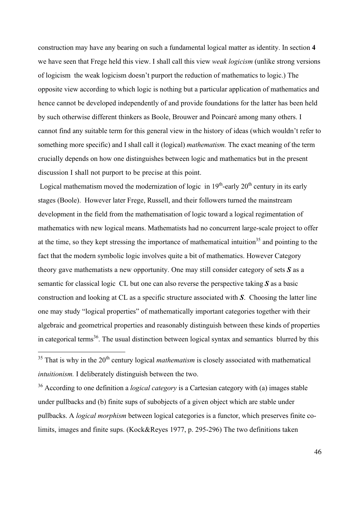construction may have any bearing on such a fundamental logical matter as identity. In section **4** we have seen that Frege held this view. I shall call this view *weak logicism* (unlike strong versions of logicism the weak logicism doesn't purport the reduction of mathematics to logic.) The opposite view according to which logic is nothing but a particular application of mathematics and hence cannot be developed independently of and provide foundations for the latter has been held by such otherwise different thinkers as Boole, Brouwer and Poincaré among many others. I cannot find any suitable term for this general view in the history of ideas (which wouldn't refer to something more specific) and I shall call it (logical) *mathematism.* The exact meaning of the term crucially depends on how one distinguishes between logic and mathematics but in the present discussion I shall not purport to be precise at this point.

Logical mathematism moved the modernization of logic in  $19<sup>th</sup>$ -early  $20<sup>th</sup>$  century in its early stages (Boole). However later Frege, Russell, and their followers turned the mainstream development in the field from the mathematisation of logic toward a logical regimentation of mathematics with new logical means. Mathematists had no concurrent large-scale project to offer at the time, so they kept stressing the importance of mathematical intuition<sup>35</sup> and pointing to the fact that the modern symbolic logic involves quite a bit of mathematics. However Category theory gave mathematists a new opportunity. One may still consider category of sets *S* as a semantic for classical logic CL but one can also reverse the perspective taking *S* as a basic construction and looking at CL as a specific structure associated with *S*. Choosing the latter line one may study "logical properties" of mathematically important categories together with their algebraic and geometrical properties and reasonably distinguish between these kinds of properties in categorical terms<sup>36</sup>. The usual distinction between logical syntax and semantics blurred by this

 $\overline{a}$ 

36 According to one definition a *logical category* is a Cartesian category with (a) images stable under pullbacks and (b) finite sups of subobjects of a given object which are stable under pullbacks. A *logical morphism* between logical categories is a functor, which preserves finite colimits, images and finite sups. (Kock&Reyes 1977, p. 295-296) The two definitions taken

 $35$  That is why in the 20<sup>th</sup> century logical *mathematism* is closely associated with mathematical *intuitionism.* I deliberately distinguish between the two.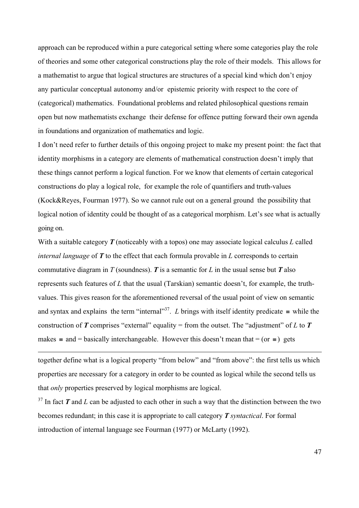approach can be reproduced within a pure categorical setting where some categories play the role of theories and some other categorical constructions play the role of their models. This allows for a mathematist to argue that logical structures are structures of a special kind which don't enjoy any particular conceptual autonomy and/or epistemic priority with respect to the core of (categorical) mathematics. Foundational problems and related philosophical questions remain open but now mathematists exchange their defense for offence putting forward their own agenda in foundations and organization of mathematics and logic.

I don't need refer to further details of this ongoing project to make my present point: the fact that identity morphisms in a category are elements of mathematical construction doesn't imply that these things cannot perform a logical function. For we know that elements of certain categorical constructions do play a logical role, for example the role of quantifiers and truth-values (Kock&Reyes, Fourman 1977). So we cannot rule out on a general ground the possibility that logical notion of identity could be thought of as a categorical morphism. Let's see what is actually going on.

With a suitable category *T* (noticeably with a topos) one may associate logical calculus *L* called *internal language* of *T* to the effect that each formula provable in *L* corresponds to certain commutative diagram in  $T$  (soundness).  $T$  is a semantic for  $L$  in the usual sense but  $T$  also represents such features of *L* that the usual (Tarskian) semantic doesn't, for example, the truthvalues. This gives reason for the aforementioned reversal of the usual point of view on semantic and syntax and explains the term "internal"<sup>37</sup>. *L* brings with itself identity predicate = while the construction of  $T$  comprises "external" equality = from the outset. The "adjustment" of  $L$  to  $T$ makes = and = basically interchangeable. However this doesn't mean that = (or =) gets

together define what is a logical property "from below" and "from above": the first tells us which properties are necessary for a category in order to be counted as logical while the second tells us that *only* properties preserved by logical morphisms are logical.

 $\overline{a}$ 

 $37$  In fact *T* and *L* can be adjusted to each other in such a way that the distinction between the two becomes redundant; in this case it is appropriate to call category *T syntactical*. For formal introduction of internal language see Fourman (1977) or McLarty (1992).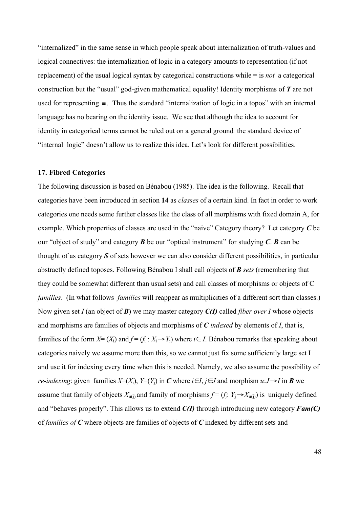"internalized" in the same sense in which people speak about internalization of truth-values and logical connectives: the internalization of logic in a category amounts to representation (if not replacement) of the usual logical syntax by categorical constructions while = is *not* a categorical construction but the "usual" god-given mathematical equality! Identity morphisms of *T* are not used for representing ≡. Thus the standard "internalization of logic in a topos" with an internal language has no bearing on the identity issue. We see that although the idea to account for identity in categorical terms cannot be ruled out on a general ground the standard device of "internal logic" doesn't allow us to realize this idea. Let's look for different possibilities.

#### **17. Fibred Categories**

The following discussion is based on Bénabou (1985). The idea is the following. Recall that categories have been introduced in section **14** as *classes* of a certain kind. In fact in order to work categories one needs some further classes like the class of all morphisms with fixed domain A, for example. Which properties of classes are used in the "naive" Category theory? Let category *C* be our "object of study" and category *B* be our "optical instrument" for studying *C*. *B* can be thought of as category *S* of sets however we can also consider different possibilities, in particular abstractly defined toposes. Following Bénabou I shall call objects of *B sets* (remembering that they could be somewhat different than usual sets) and call classes of morphisms or objects of C *families*. (In what follows *families* will reappear as multiplicities of a different sort than classes.) Now given set *I* (an object of *B*) we may master category *C(I)* called *fiber over I* whose objects and morphisms are families of objects and morphisms of *C indexed* by elements of *I*, that is, families of the form  $X=(X_i)$  and  $f=(f_i: X_i \rightarrow Y_i)$  where  $i \in I$ . Bénabou remarks that speaking about categories naively we assume more than this, so we cannot just fix some sufficiently large set I and use it for indexing every time when this is needed. Namely, we also assume the possibility of *re-indexing*: given families  $X=(X_i), Y=(Y_i)$  in *C* where  $i \in I, j \in J$  and morphism  $u: J \rightarrow I$  in *B* we assume that family of objects  $X_{u(j)}$  and family of morphisms  $f = (f_j: Y_j \rightarrow X_{u(j)})$  is uniquely defined and "behaves properly". This allows us to extend *C(I)* through introducing new category *Fam(C)* of *families of C* where objects are families of objects of *C* indexed by different sets and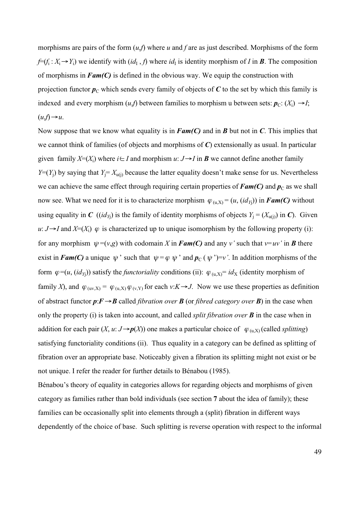morphisms are pairs of the form (*u*,*f*) where *u* and *f* are as just described. Morphisms of the form  $f=(f_i: X_i \rightarrow Y_i)$  we identify with  $(id_1, f)$  where  $id_i$  is identity morphism of *I* in *B*. The composition of morphisms in *Fam(C)* is defined in the obvious way. We equip the construction with projection functor  $p_C$  which sends every family of objects of *C* to the set by which this family is indexed and every morphism  $(u, f)$  between families to morphism u between sets:  $p_C$ :  $(X_i) \rightarrow Y$ ;  $(u,f) \rightarrow u$ .

Now suppose that we know what equality is in *Fam(C)* and in *B* but not in *C*. This implies that we cannot think of families (of objects and morphisms of *C*) extensionally as usual. In particular given family  $X=(X_i)$  where  $i \in I$  and morphism  $u: J \rightarrow I$  in **B** we cannot define another family *Y*=(*Y*<sub>i</sub>) by saying that *Y*<sub>i</sub>=  $X_{u(i)}$  because the latter equality doesn't make sense for us. Nevertheless we can achieve the same effect through requiring certain properties of  $Fam(C)$  and  $p_C$  as we shall now see. What we need for it is to characterize morphism  $\varphi_{(u,X)} = (u, (id_{Y_i}))$  in **Fam(C)** without using equality in *C* ((*id<sub>Yi</sub>*) is the family of identity morphisms of objects  $Y_j = (X_{u(j)})$  in *C*). Given *u*:  $J \rightarrow I$  and  $X=(X_i)$   $\varphi$  is characterized up to unique isomorphism by the following property (i): for any morphism  $\psi = (v, g)$  with codomain *X* in *Fam(C)* and any *v*' such that  $v = uv$  in *B* there exist in *Fam(C)* a unique  $\psi$  ' such that  $\psi = \varphi \psi$  ' and  $p_C(\psi') = v'$ . In addition morphisms of the form  $\varphi = (u, (id_{Y_j}))$  satisfy the *functoriality* conditions (ii):  $\varphi_{(u,X)} = id_X$  (identity morphism of family *X*), and  $\varphi_{(uv,X)} = \varphi_{(u,X)} \varphi_{(v,Y)}$  for each *v*:*K*  $\rightarrow$ *J*. Now we use these properties as definition of abstract functor  $p: F \to B$  called *fibration over B* (or *fibred category over <i>B*) in the case when only the property (i) is taken into account, and called *split fibration over B* in the case when in addition for each pair  $(X, u: J \rightarrow p(X))$  one makes a particular choice of  $\varphi_{(u,X)}$  (called *splitting*) satisfying functoriality conditions (ii). Thus equality in a category can be defined as splitting of fibration over an appropriate base. Noticeably given a fibration its splitting might not exist or be not unique. I refer the reader for further details to Bénabou (1985).

Bénabou's theory of equality in categories allows for regarding objects and morphisms of given category as families rather than bold individuals (see section **7** about the idea of family); these families can be occasionally split into elements through a (split) fibration in different ways dependently of the choice of base. Such splitting is reverse operation with respect to the informal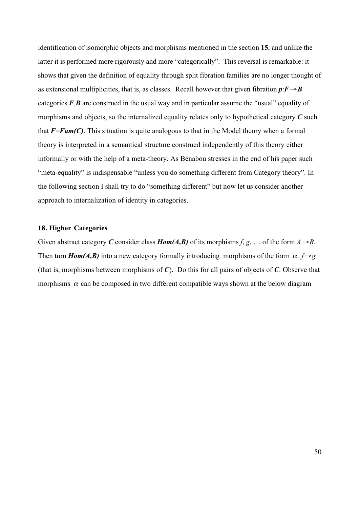identification of isomorphic objects and morphisms mentioned in the section **15**, and unlike the latter it is performed more rigorously and more "categorically". This reversal is remarkable: it shows that given the definition of equality through split fibration families are no longer thought of as extensional multiplicities, that is, as classes. Recall however that given fibration  $p: F \rightarrow B$ categories F,B are construed in the usual way and in particular assume the "usual" equality of morphisms and objects, so the internalized equality relates only to hypothetical category *C* such that  $F = Fam(C)$ . This situation is quite analogous to that in the Model theory when a formal theory is interpreted in a semantical structure construed independently of this theory either informally or with the help of a meta-theory. As Bénabou stresses in the end of his paper such "meta-equality" is indispensable "unless you do something different from Category theory". In the following section I shall try to do "something different" but now let us consider another approach to internalization of identity in categories.

## **18. Higher Categories**

Given abstract category *C* consider class *Hom(A,B)* of its morphisms *f*, *g*, ... of the form  $A \rightarrow B$ . Then turn *Hom(A,B)* into a new category formally introducing morphisms of the form  $\alpha : f \rightarrow g$ (that is, morphisms between morphisms of *C*). Do this for all pairs of objects of *C*. Observe that morphisms  $\alpha$  can be composed in two different compatible ways shown at the below diagram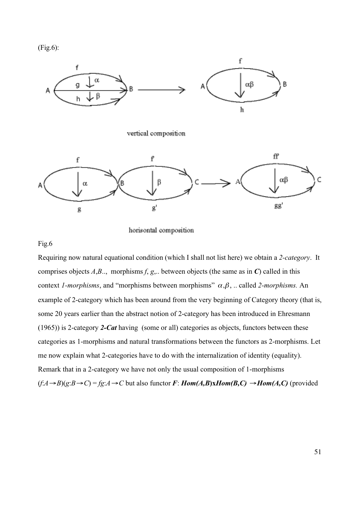(Fig.6):



horisontal composition

Fig.6

Requiring now natural equational condition (which I shall not list here) we obtain a *2-category*. It comprises objects *A*,*B*.., morphisms *f*, *g*,.. between objects (the same as in *C*) called in this context *1-morphisms*, and "morphisms between morphisms" α,β , .. called *2-morphisms.* An example of 2-category which has been around from the very beginning of Category theory (that is, some 20 years earlier than the abstract notion of 2-category has been introduced in Ehresmann (1965)) is 2-category *2-Cat* having (some or all) categories as objects, functors between these categories as 1-morphisms and natural transformations between the functors as 2-morphisms. Let me now explain what 2-categories have to do with the internalization of identity (equality). Remark that in a 2-category we have not only the usual composition of 1-morphisms  $(f:A\rightarrow B)(g:B\rightarrow C) = fg:A \rightarrow C$  but also functor *F*: *Hom(A,B*)x*Hom(B,C)* → *Hom(A,C)* (provided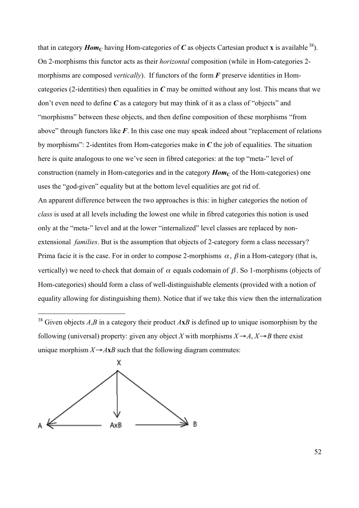that in category  $Hom_C$  having Hom-categories of *C* as objects Cartesian product **x** is available <sup>38</sup>). On 2-morphisms this functor acts as their *horizontal* composition (while in Hom-categories 2 morphisms are composed *vertically*). If functors of the form *F* preserve identities in Homcategories (2-identities) then equalities in *C* may be omitted without any lost. This means that we don't even need to define *C* as a category but may think of it as a class of "objects" and "morphisms" between these objects, and then define composition of these morphisms "from above" through functors like  $F$ . In this case one may speak indeed about "replacement of relations" by morphisms": 2-identites from Hom-categories make in *C* the job of equalities. The situation here is quite analogous to one we've seen in fibred categories: at the top "meta-" level of construction (namely in Hom-categories and in the category  $Hom_C$  of the Hom-categories) one uses the "god-given" equality but at the bottom level equalities are got rid of. An apparent difference between the two approaches is this: in higher categories the notion of *class* is used at all levels including the lowest one while in fibred categories this notion is used only at the "meta-" level and at the lower "internalized" level classes are replaced by nonextensional *families*. But is the assumption that objects of 2-category form a class necessary? Prima facie it is the case. For in order to compose 2-morphisms  $\alpha$ ,  $\beta$  in a Hom-category (that is, vertically) we need to check that domain of  $\alpha$  equals codomain of  $\beta$ . So 1-morphisms (objects of Hom-categories) should form a class of well-distinguishable elements (provided with a notion of equality allowing for distinguishing them). Notice that if we take this view then the internalization

<sup>38</sup> Given objects *A*,*B* in a category their product *A***x***B* is defined up to unique isomorphism by the following (universal) property: given any object *X* with morphisms  $X \rightarrow A$ ,  $X \rightarrow B$  there exist unique morphism  $X \rightarrow AXB$  such that the following diagram commutes:

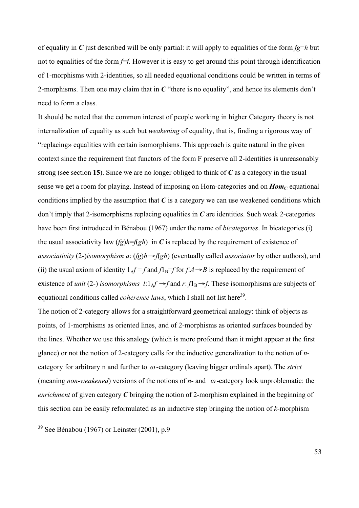of equality in *C* just described will be only partial: it will apply to equalities of the form *fg*=*h* but not to equalities of the form  $f=f$ . However it is easy to get around this point through identification of 1-morphisms with 2-identities, so all needed equational conditions could be written in terms of 2-morphisms. Then one may claim that in *C* "there is no equality", and hence its elements don't need to form a class.

It should be noted that the common interest of people working in higher Category theory is not internalization of equality as such but *weakening* of equality, that is, finding a rigorous way of "replacing» equalities with certain isomorphisms. This approach is quite natural in the given context since the requirement that functors of the form F preserve all 2-identities is unreasonably strong (see section **15**). Since we are no longer obliged to think of *C* as a category in the usual sense we get a room for playing. Instead of imposing on Hom-categories and on  $Hom_C$  equational conditions implied by the assumption that  $C$  is a category we can use weakened conditions which don't imply that 2-isomorphisms replacing equalities in  $C$  are identities. Such weak 2-categories have been first introduced in Bénabou (1967) under the name of *bicategories*. In bicategories (i) the usual associativity law  $(fg)h=f(gh)$  in C is replaced by the requirement of existence of *associativity* (2-)*isomorphism a*: (*fg*)*h* $\rightarrow$ *f(gh*) (eventually called *associator* by other authors), and (ii) the usual axiom of identity  $1_A f = f$  and  $f1_B = f$  for  $f: A \rightarrow B$  is replaced by the requirement of existence of *unit* (2-) *isomorphisms*  $l:1_A f \rightarrow f$  and  $r: f1_B \rightarrow f$ . These isomorphisms are subjects of equational conditions called *coherence laws*, which I shall not list here<sup>39</sup>.

The notion of 2-category allows for a straightforward geometrical analogy: think of objects as points, of 1-morphisms as oriented lines, and of 2-morphisms as oriented surfaces bounded by the lines. Whether we use this analogy (which is more profound than it might appear at the first glance) or not the notion of 2-category calls for the inductive generalization to the notion of *n*category for arbitrary n and further to <sup>ω</sup> -category (leaving bigger ordinals apart). The *strict* (meaning *non-weakened*) versions of the notions of *n*- and <sup>ω</sup> -category look unproblematic: the *enrichment* of given category *C* bringing the notion of 2-morphism explained in the beginning of this section can be easily reformulated as an inductive step bringing the notion of *k*-morphism

 $39$  See Bénabou (1967) or Leinster (2001), p.9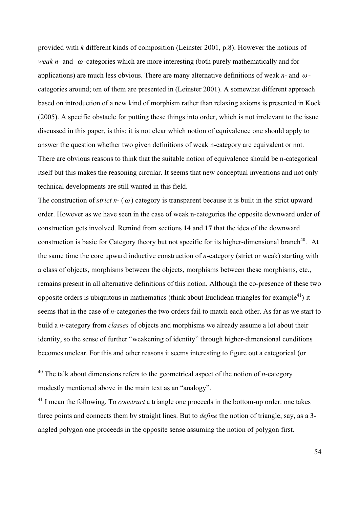provided with *k* different kinds of composition (Leinster 2001, p.8). However the notions of *weak n*- and  $\omega$ -categories which are more interesting (both purely mathematically and for applications) are much less obvious. There are many alternative definitions of weak *n*- and <sup>ω</sup> categories around; ten of them are presented in (Leinster 2001). A somewhat different approach based on introduction of a new kind of morphism rather than relaxing axioms is presented in Kock (2005). A specific obstacle for putting these things into order, which is not irrelevant to the issue discussed in this paper, is this: it is not clear which notion of equivalence one should apply to answer the question whether two given definitions of weak n-category are equivalent or not. There are obvious reasons to think that the suitable notion of equivalence should be n-categorical itself but this makes the reasoning circular. It seems that new conceptual inventions and not only technical developments are still wanted in this field.

The construction of *strict*  $n-(\omega)$  category is transparent because it is built in the strict upward order. However as we have seen in the case of weak n-categories the opposite downward order of construction gets involved. Remind from sections **14** and **17** that the idea of the downward construction is basic for Category theory but not specific for its higher-dimensional branch<sup>40</sup>. At the same time the core upward inductive construction of *n*-category (strict or weak) starting with a class of objects, morphisms between the objects, morphisms between these morphisms, etc., remains present in all alternative definitions of this notion. Although the co-presence of these two opposite orders is ubiquitous in mathematics (think about Euclidean triangles for example<sup>41</sup>) it seems that in the case of *n*-categories the two orders fail to match each other. As far as we start to build a *n*-category from *classes* of objects and morphisms we already assume a lot about their identity, so the sense of further "weakening of identity" through higher-dimensional conditions becomes unclear. For this and other reasons it seems interesting to figure out a categorical (or

 $\overline{a}$ 

<sup>&</sup>lt;sup>40</sup> The talk about dimensions refers to the geometrical aspect of the notion of *n*-category modestly mentioned above in the main text as an "analogy".

<sup>41</sup> I mean the following. To *construct* a triangle one proceeds in the bottom-up order: one takes three points and connects them by straight lines. But to *define* the notion of triangle, say, as a 3 angled polygon one proceeds in the opposite sense assuming the notion of polygon first.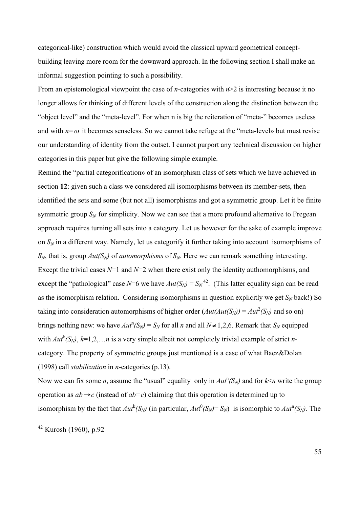categorical-like) construction which would avoid the classical upward geometrical conceptbuilding leaving more room for the downward approach. In the following section I shall make an informal suggestion pointing to such a possibility.

From an epistemological viewpoint the case of *n*-categories with  $n>2$  is interesting because it no longer allows for thinking of different levels of the construction along the distinction between the "object level" and the "meta-level". For when n is big the reiteration of "meta-" becomes useless and with  $n = \omega$  it becomes senseless. So we cannot take refuge at the "meta-level» but must revise our understanding of identity from the outset. I cannot purport any technical discussion on higher categories in this paper but give the following simple example.

Remind the "partial categorification» of an isomorphism class of sets which we have achieved in section **12**: given such a class we considered all isomorphisms between its member-sets, then identified the sets and some (but not all) isomorphisms and got a symmetric group. Let it be finite symmetric group  $S_N$  for simplicity. Now we can see that a more profound alternative to Fregean approach requires turning all sets into a category. Let us however for the sake of example improve on *S<sub>N</sub>* in a different way. Namely, let us categorify it further taking into account isomorphisms of  $S_N$ , that is, group  $Aut(S_N)$  of *automorphisms* of  $S_N$ . Here we can remark something interesting. Except the trivial cases *N*=1 and *N*=2 when there exist only the identity authomorphisms, and except the "pathological" case *N*=6 we have  $Aut(S_N) = S_N^{42}$ . (This latter equality sign can be read as the isomorphism relation. Considering isomorphisms in question explicitly we get  $S_N$  back!) So taking into consideration automorphisms of higher order  $(Aut(Aut(S_N)) = Aut^2(S_N)$  and so on) brings nothing new: we have  $Aut^{n}(S_N) = S_N$  for all *n* and all  $N \neq 1,2,6$ . Remark that  $S_N$  equipped with  $Aut^{k}(S_{N}), k=1,2,...n$  is a very simple albeit not completely trivial example of strict *n*category. The property of symmetric groups just mentioned is a case of what Baez&Dolan (1998) call *stabilization* in *n*-categories (p.13).

Now we can fix some *n*, assume the "usual" equality only in  $Aut^{n}(S_N)$  and for  $k \leq n$  write the group operation as  $ab \rightarrow c$  (instead of  $ab = c$ ) claiming that this operation is determined up to isomorphism by the fact that  $Aut^k(S_N)$  (in particular,  $Aut^0(S_N) = S_N$ ) is isomorphic to  $Aut^n(S_N)$ . The

<sup>42</sup> Kurosh (1960), p.92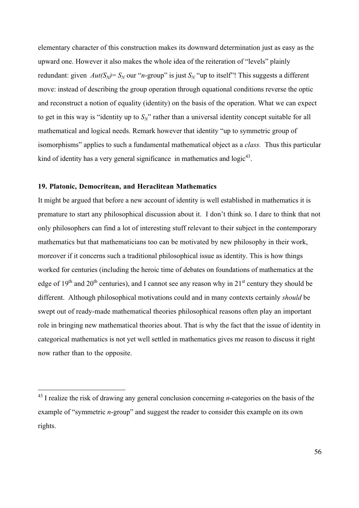elementary character of this construction makes its downward determination just as easy as the upward one. However it also makes the whole idea of the reiteration of "levels" plainly redundant: given  $Aut(S_N) = S_N$  our "*n*-group" is just  $S_N$  "up to itself"! This suggests a different move: instead of describing the group operation through equational conditions reverse the optic and reconstruct a notion of equality (identity) on the basis of the operation. What we can expect to get in this way is "identity up to  $S_N$ " rather than a universal identity concept suitable for all mathematical and logical needs. Remark however that identity "up to symmetric group of isomorphisms" applies to such a fundamental mathematical object as a *class.* Thus this particular kind of identity has a very general significance in mathematics and logic $43$ .

#### **19. Platonic, Democritean, and Heraclitean Mathematics**

 $\overline{a}$ 

It might be argued that before a new account of identity is well established in mathematics it is premature to start any philosophical discussion about it. I don't think so. I dare to think that not only philosophers can find a lot of interesting stuff relevant to their subject in the contemporary mathematics but that mathematicians too can be motivated by new philosophy in their work, moreover if it concerns such a traditional philosophical issue as identity. This is how things worked for centuries (including the heroic time of debates on foundations of mathematics at the edge of 19<sup>th</sup> and 20<sup>th</sup> centuries), and I cannot see any reason why in 21<sup>st</sup> century they should be different. Although philosophical motivations could and in many contexts certainly *should* be swept out of ready-made mathematical theories philosophical reasons often play an important role in bringing new mathematical theories about. That is why the fact that the issue of identity in categorical mathematics is not yet well settled in mathematics gives me reason to discuss it right now rather than to the opposite.

<sup>43</sup> I realize the risk of drawing any general conclusion concerning *n*-categories on the basis of the example of "symmetric *n*-group" and suggest the reader to consider this example on its own rights.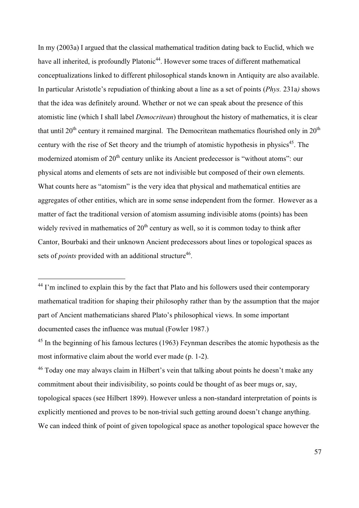In my (2003a) I argued that the classical mathematical tradition dating back to Euclid, which we have all inherited, is profoundly Platonic<sup>44</sup>. However some traces of different mathematical conceptualizations linked to different philosophical stands known in Antiquity are also available. In particular Aristotle's repudiation of thinking about a line as a set of points (*Phys.* 231a*)* shows that the idea was definitely around. Whether or not we can speak about the presence of this atomistic line (which I shall label *Democritean*) throughout the history of mathematics, it is clear that until  $20<sup>th</sup>$  century it remained marginal. The Democritean mathematics flourished only in  $20<sup>th</sup>$ century with the rise of Set theory and the triumph of atomistic hypothesis in physics<sup>45</sup>. The modernized atomism of 20<sup>th</sup> century unlike its Ancient predecessor is "without atoms": our physical atoms and elements of sets are not indivisible but composed of their own elements. What counts here as "atomism" is the very idea that physical and mathematical entities are aggregates of other entities, which are in some sense independent from the former. However as a matter of fact the traditional version of atomism assuming indivisible atoms (points) has been widely revived in mathematics of  $20<sup>th</sup>$  century as well, so it is common today to think after Cantor, Bourbaki and their unknown Ancient predecessors about lines or topological spaces as sets of *points* provided with an additional structure<sup>46</sup>.

<sup>&</sup>lt;sup>44</sup> I'm inclined to explain this by the fact that Plato and his followers used their contemporary mathematical tradition for shaping their philosophy rather than by the assumption that the major part of Ancient mathematicians shared Plato's philosophical views. In some important documented cases the influence was mutual (Fowler 1987.)

<sup>&</sup>lt;sup>45</sup> In the beginning of his famous lectures (1963) Feynman describes the atomic hypothesis as the most informative claim about the world ever made (p. 1-2).

<sup>46</sup> Today one may always claim in Hilbert's vein that talking about points he doesn't make any commitment about their indivisibility, so points could be thought of as beer mugs or, say, topological spaces (see Hilbert 1899). However unless a non-standard interpretation of points is explicitly mentioned and proves to be non-trivial such getting around doesn't change anything. We can indeed think of point of given topological space as another topological space however the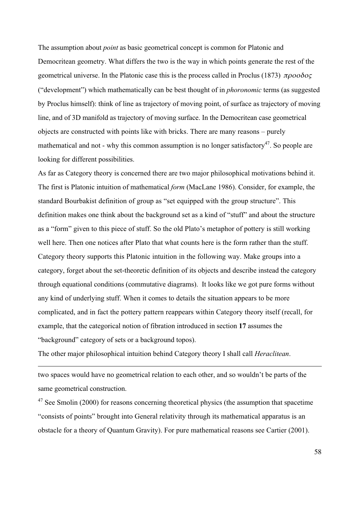The assumption about *point* as basic geometrical concept is common for Platonic and Democritean geometry. What differs the two is the way in which points generate the rest of the geometrical universe. In the Platonic case this is the process called in Proclus (1873) προοδος ("development") which mathematically can be best thought of in *phoronomic* terms (as suggested by Proclus himself): think of line as trajectory of moving point, of surface as trajectory of moving line, and of 3D manifold as trajectory of moving surface. In the Democritean case geometrical objects are constructed with points like with bricks. There are many reasons – purely mathematical and not - why this common assumption is no longer satisfactory<sup>47</sup>. So people are looking for different possibilities.

As far as Category theory is concerned there are two major philosophical motivations behind it. The first is Platonic intuition of mathematical *form* (MacLane 1986). Consider, for example, the standard Bourbakist definition of group as "set equipped with the group structure". This definition makes one think about the background set as a kind of "stuff" and about the structure as a "form" given to this piece of stuff. So the old Plato's metaphor of pottery is still working well here. Then one notices after Plato that what counts here is the form rather than the stuff. Category theory supports this Platonic intuition in the following way. Make groups into a category, forget about the set-theoretic definition of its objects and describe instead the category through equational conditions (commutative diagrams). It looks like we got pure forms without any kind of underlying stuff. When it comes to details the situation appears to be more complicated, and in fact the pottery pattern reappears within Category theory itself (recall, for example, that the categorical notion of fibration introduced in section **17** assumes the "background" category of sets or a background topos).

The other major philosophical intuition behind Category theory I shall call *Heraclitean*.

 $\overline{a}$ 

two spaces would have no geometrical relation to each other, and so wouldn't be parts of the same geometrical construction.

 $47$  See Smolin (2000) for reasons concerning theoretical physics (the assumption that spacetime "consists of points" brought into General relativity through its mathematical apparatus is an obstacle for a theory of Quantum Gravity). For pure mathematical reasons see Cartier (2001).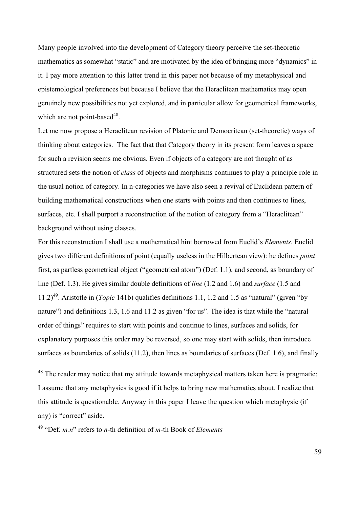Many people involved into the development of Category theory perceive the set-theoretic mathematics as somewhat "static" and are motivated by the idea of bringing more "dynamics" in it. I pay more attention to this latter trend in this paper not because of my metaphysical and epistemological preferences but because I believe that the Heraclitean mathematics may open genuinely new possibilities not yet explored, and in particular allow for geometrical frameworks, which are not point-based<sup>48</sup>.

Let me now propose a Heraclitean revision of Platonic and Democritean (set-theoretic) ways of thinking about categories. The fact that that Category theory in its present form leaves a space for such a revision seems me obvious. Even if objects of a category are not thought of as structured sets the notion of *class* of objects and morphisms continues to play a principle role in the usual notion of category. In n-categories we have also seen a revival of Euclidean pattern of building mathematical constructions when one starts with points and then continues to lines, surfaces, etc. I shall purport a reconstruction of the notion of category from a "Heraclitean" background without using classes.

For this reconstruction I shall use a mathematical hint borrowed from Euclid's *Elements*. Euclid gives two different definitions of point (equally useless in the Hilbertean view): he defines *point* first, as partless geometrical object ("geometrical atom") (Def. 1.1), and second, as boundary of line (Def. 1.3). He gives similar double definitions of *line* (1.2 and 1.6) and *surface* (1.5 and 11.2)49. Aristotle in (*Topic* 141b) qualifies definitions 1.1, 1.2 and 1.5 as "natural" (given "by nature") and definitions 1.3, 1.6 and 11.2 as given "for us". The idea is that while the "natural order of things" requires to start with points and continue to lines, surfaces and solids, for explanatory purposes this order may be reversed, so one may start with solids, then introduce surfaces as boundaries of solids (11.2), then lines as boundaries of surfaces (Def. 1.6), and finally

<sup>&</sup>lt;sup>48</sup> The reader may notice that my attitude towards metaphysical matters taken here is pragmatic: I assume that any metaphysics is good if it helps to bring new mathematics about. I realize that this attitude is questionable. Anyway in this paper I leave the question which metaphysic (if any) is "correct" aside.

<sup>49 &</sup>quot;Def. *m.n*" refers to *n*-th definition of *m*-th Book of *Elements*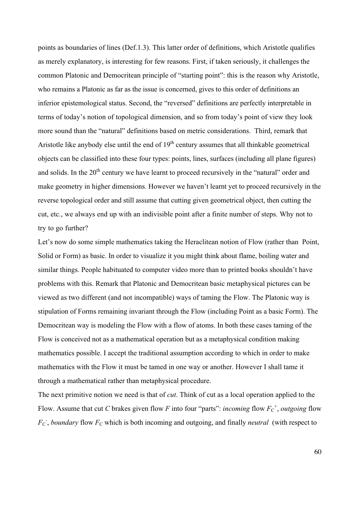points as boundaries of lines (Def.1.3). This latter order of definitions, which Aristotle qualifies as merely explanatory, is interesting for few reasons. First, if taken seriously, it challenges the common Platonic and Democritean principle of "starting point": this is the reason why Aristotle, who remains a Platonic as far as the issue is concerned, gives to this order of definitions an inferior epistemological status. Second, the "reversed" definitions are perfectly interpretable in terms of today's notion of topological dimension, and so from today's point of view they look more sound than the "natural" definitions based on metric considerations. Third, remark that Aristotle like anybody else until the end of 19<sup>th</sup> century assumes that all thinkable geometrical objects can be classified into these four types: points, lines, surfaces (including all plane figures) and solids. In the 20<sup>th</sup> century we have learnt to proceed recursively in the "natural" order and make geometry in higher dimensions. However we haven't learnt yet to proceed recursively in the reverse topological order and still assume that cutting given geometrical object, then cutting the cut, etc., we always end up with an indivisible point after a finite number of steps. Why not to try to go further?

Let's now do some simple mathematics taking the Heraclitean notion of Flow (rather than Point, Solid or Form) as basic. In order to visualize it you might think about flame, boiling water and similar things. People habituated to computer video more than to printed books shouldn't have problems with this. Remark that Platonic and Democritean basic metaphysical pictures can be viewed as two different (and not incompatible) ways of taming the Flow. The Platonic way is stipulation of Forms remaining invariant through the Flow (including Point as a basic Form). The Democritean way is modeling the Flow with a flow of atoms. In both these cases taming of the Flow is conceived not as a mathematical operation but as a metaphysical condition making mathematics possible. I accept the traditional assumption according to which in order to make mathematics with the Flow it must be tamed in one way or another. However I shall tame it through a mathematical rather than metaphysical procedure.

The next primitive notion we need is that of *cut*. Think of cut as a local operation applied to the Flow. Assume that cut *C* brakes given flow *F* into four "parts": *incoming* flow  $F_c^+$ , *outgoing* flow *F*<sub>C</sub>, *boundary* flow *F*<sub>C</sub> which is both incoming and outgoing, and finally *neutral* (with respect to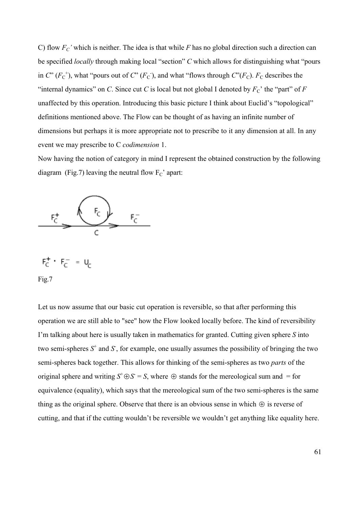C) flow  $F_C'$  which is neither. The idea is that while  $F$  has no global direction such a direction can be specified *locally* through making local "section" *C* which allows for distinguishing what "pours in  $C^*(F_C^+)$ , what "pours out of  $C^*(F_C)$ , and what "flows through  $C^*(F_C)$ .  $F_C$  describes the "internal dynamics" on *C*. Since cut *C* is local but not global I denoted by  $F_C$ ' the "part" of *F* unaffected by this operation. Introducing this basic picture I think about Euclid's "topological" definitions mentioned above. The Flow can be thought of as having an infinite number of dimensions but perhaps it is more appropriate not to prescribe to it any dimension at all. In any event we may prescribe to C *codimension* 1.

Now having the notion of category in mind I represent the obtained construction by the following diagram (Fig.7) leaving the neutral flow  $F_c'$  apart:



$$
F_C^+ \cdot F_C^- = U_C
$$



Let us now assume that our basic cut operation is reversible, so that after performing this operation we are still able to "see" how the Flow looked locally before. The kind of reversibility I'm talking about here is usually taken in mathematics for granted. Cutting given sphere *S* into two semi-spheres  $S^+$  and  $S$ , for example, one usually assumes the possibility of bringing the two semi-spheres back together. This allows for thinking of the semi-spheres as two *parts* of the original sphere and writing  $S^+ \oplus S = S$ , where  $\oplus$  stands for the mereological sum and = for equivalence (equality), which says that the mereological sum of the two semi-spheres is the same thing as the original sphere. Observe that there is an obvious sense in which  $\oplus$  is reverse of cutting, and that if the cutting wouldn't be reversible we wouldn't get anything like equality here.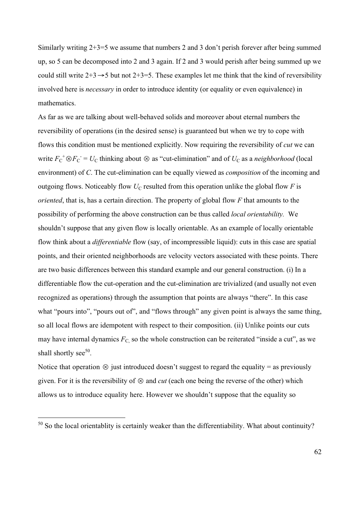Similarly writing 2+3=5 we assume that numbers 2 and 3 don't perish forever after being summed up, so 5 can be decomposed into 2 and 3 again. If 2 and 3 would perish after being summed up we could still write  $2+3 \rightarrow 5$  but not  $2+3=5$ . These examples let me think that the kind of reversibility involved here is *necessary* in order to introduce identity (or equality or even equivalence) in mathematics.

As far as we are talking about well-behaved solids and moreover about eternal numbers the reversibility of operations (in the desired sense) is guaranteed but when we try to cope with flows this condition must be mentioned explicitly. Now requiring the reversibility of *cut* we can write  $F_C^+ \otimes F_C = U_C$  thinking about  $\otimes$  as "cut-elimination" and of  $U_C$  as a *neighborhood* (local environment) of *C*. The cut-elimination can be equally viewed as *composition* of the incoming and outgoing flows. Noticeably flow  $U_{\rm C}$  resulted from this operation unlike the global flow *F* is *oriented*, that is, has a certain direction. The property of global flow *F* that amounts to the possibility of performing the above construction can be thus called *local orientability.* We shouldn't suppose that any given flow is locally orientable. As an example of locally orientable flow think about a *differentiable* flow (say, of incompressible liquid): cuts in this case are spatial points, and their oriented neighborhoods are velocity vectors associated with these points. There are two basic differences between this standard example and our general construction. (i) In a differentiable flow the cut-operation and the cut-elimination are trivialized (and usually not even recognized as operations) through the assumption that points are always "there". In this case what "pours into", "pours out of", and "flows through" any given point is always the same thing, so all local flows are idempotent with respect to their composition. (ii) Unlike points our cuts may have internal dynamics  $F_C$  so the whole construction can be reiterated "inside a cut", as we shall shortly see<sup>50</sup>.

Notice that operation  $\otimes$  just introduced doesn't suggest to regard the equality = as previously given. For it is the reversibility of ⊗ and *cut* (each one being the reverse of the other) which allows us to introduce equality here. However we shouldn't suppose that the equality so

 $50$  So the local orientablity is certainly weaker than the differentiability. What about continuity?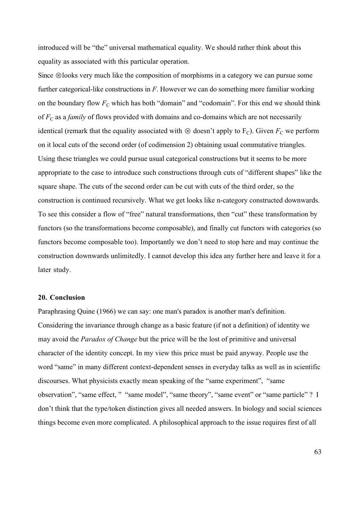introduced will be "the" universal mathematical equality. We should rather think about this equality as associated with this particular operation.

Since ⊗looks very much like the composition of morphisms in a category we can pursue some further categorical-like constructions in *F*. However we can do something more familiar working on the boundary flow  $F_C$  which has both "domain" and "codomain". For this end we should think of  $F_c$  as a *family* of flows provided with domains and co-domains which are not necessarily identical (remark that the equality associated with ⊗ doesn't apply to  $F_C$ ). Given  $F_C$  we perform on it local cuts of the second order (of codimension 2) obtaining usual commutative triangles. Using these triangles we could pursue usual categorical constructions but it seems to be more appropriate to the case to introduce such constructions through cuts of "different shapes" like the square shape. The cuts of the second order can be cut with cuts of the third order, so the construction is continued recursively. What we get looks like n-category constructed downwards. To see this consider a flow of "free" natural transformations, then "cut" these transformation by functors (so the transformations become composable), and finally cut functors with categories (so functors become composable too). Importantly we don't need to stop here and may continue the construction downwards unlimitedly. I cannot develop this idea any further here and leave it for a later study.

#### **20. Conclusion**

Paraphrasing Quine (1966) we can say: one man's paradox is another man's definition. Considering the invariance through change as a basic feature (if not a definition) of identity we may avoid the *Paradox of Change* but the price will be the lost of primitive and universal character of the identity concept. In my view this price must be paid anyway. People use the word "same" in many different context-dependent senses in everyday talks as well as in scientific discourses. What physicists exactly mean speaking of the "same experiment", "same observation", "same effect, " "same model", "same theory", "same event" or "same particle" ? I don't think that the type/token distinction gives all needed answers. In biology and social sciences things become even more complicated. A philosophical approach to the issue requires first of all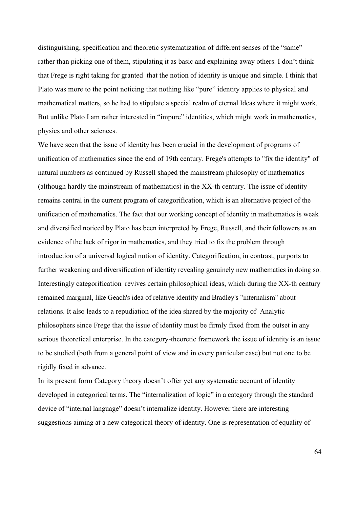distinguishing, specification and theoretic systematization of different senses of the "same" rather than picking one of them, stipulating it as basic and explaining away others. I don't think that Frege is right taking for granted that the notion of identity is unique and simple. I think that Plato was more to the point noticing that nothing like "pure" identity applies to physical and mathematical matters, so he had to stipulate a special realm of eternal Ideas where it might work. But unlike Plato I am rather interested in "impure" identities, which might work in mathematics, physics and other sciences.

We have seen that the issue of identity has been crucial in the development of programs of unification of mathematics since the end of 19th century. Frege's attempts to "fix the identity" of natural numbers as continued by Russell shaped the mainstream philosophy of mathematics (although hardly the mainstream of mathematics) in the XX-th century. The issue of identity remains central in the current program of categorification, which is an alternative project of the unification of mathematics. The fact that our working concept of identity in mathematics is weak and diversified noticed by Plato has been interpreted by Frege, Russell, and their followers as an evidence of the lack of rigor in mathematics, and they tried to fix the problem through introduction of a universal logical notion of identity. Categorification, in contrast, purports to further weakening and diversification of identity revealing genuinely new mathematics in doing so. Interestingly categorification revives certain philosophical ideas, which during the XX-th century remained marginal, like Geach's idea of relative identity and Bradley's "internalism" about relations. It also leads to a repudiation of the idea shared by the majority of Analytic philosophers since Frege that the issue of identity must be firmly fixed from the outset in any serious theoretical enterprise. In the category-theoretic framework the issue of identity is an issue to be studied (both from a general point of view and in every particular case) but not one to be rigidly fixed in advance.

In its present form Category theory doesn't offer yet any systematic account of identity developed in categorical terms. The "internalization of logic" in a category through the standard device of "internal language" doesn't internalize identity. However there are interesting suggestions aiming at a new categorical theory of identity. One is representation of equality of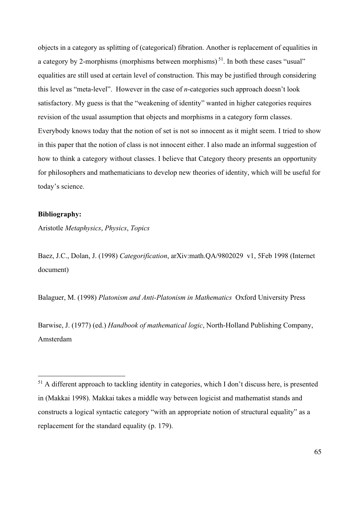objects in a category as splitting of (categorical) fibration. Another is replacement of equalities in a category by 2-morphisms (morphisms between morphisms)<sup>51</sup>. In both these cases "usual" equalities are still used at certain level of construction. This may be justified through considering this level as "meta-level". However in the case of *n*-categories such approach doesn't look satisfactory. My guess is that the "weakening of identity" wanted in higher categories requires revision of the usual assumption that objects and morphisms in a category form classes. Everybody knows today that the notion of set is not so innocent as it might seem. I tried to show in this paper that the notion of class is not innocent either. I also made an informal suggestion of how to think a category without classes. I believe that Category theory presents an opportunity for philosophers and mathematicians to develop new theories of identity, which will be useful for today's science.

## **Bibliography:**

 $\overline{a}$ 

Aristotle *Metaphysics*, *Physics*, *Topics*

Baez, J.C., Dolan, J. (1998) *Categorification*, arXiv:math.QA/9802029 v1, 5Feb 1998 (Internet document)

Balaguer, M. (1998) *Platonism and Anti-Platonism in Mathematics* Oxford University Press

Barwise, J. (1977) (ed.) *Handbook of mathematical logic*, North-Holland Publishing Company, Amsterdam

<sup>&</sup>lt;sup>51</sup> A different approach to tackling identity in categories, which I don't discuss here, is presented in (Makkai 1998). Makkai takes a middle way between logicist and mathematist stands and constructs a logical syntactic category "with an appropriate notion of structural equality" as a replacement for the standard equality (p. 179).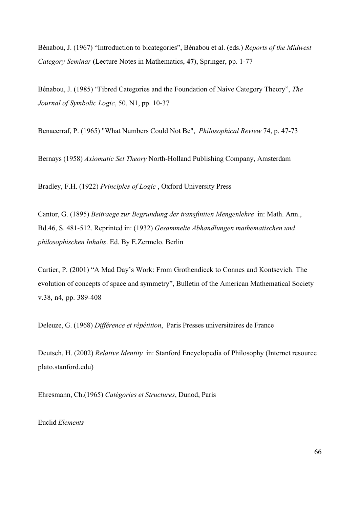Bénabou, J. (1967) "Introduction to bicategories", Bénabou et al. (eds.) *Reports of the Midwest Category Seminar* (Lecture Notes in Mathematics, **47**), Springer, pp. 1-77

Bénabou, J. (1985) "Fibred Categories and the Foundation of Naive Category Theory", *The Journal of Symbolic Logic*, 50, N1, pp. 10-37

Benacerraf, P. (1965) "What Numbers Could Not Be", *Philosophical Review* 74, p. 47-73

Bernays (1958) *Axiomatic Set Theory* North-Holland Publishing Company, Amsterdam

Bradley, F.H. (1922) *Principles of Logic* , Oxford University Press

Cantor, G. (1895) *Beitraege zur Begrundung der transfiniten Mengenlehre* in: Math. Ann., Bd.46, S. 481-512. Reprinted in: (1932) *Gesammelte Abhandlungen mathematischen und philosophischen Inhalts*. Ed. By E.Zermelo. Berlin

Cartier, P. (2001) "A Mad Day's Work: From Grothendieck to Connes and Kontsevich. The evolution of concepts of space and symmetry", Bulletin of the American Mathematical Society v.38, n4, pp. 389-408

Deleuze, G. (1968) *Différence et répétition*, Paris Presses universitaires de France

Deutsch, H. (2002) *Relative Identity* in: Stanford Encyclopedia of Philosophy (Internet resource plato.stanford.edu)

Ehresmann, Ch.(1965) *Catégories et Structures*, Dunod, Paris

Euclid *Elements*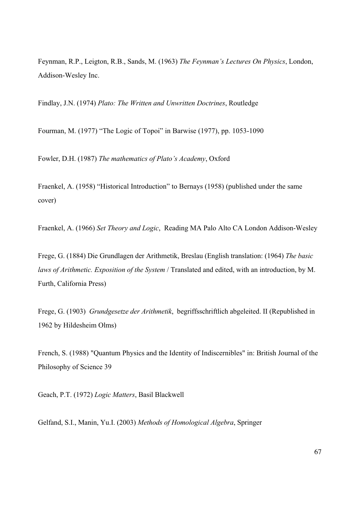Feynman, R.P., Leigton, R.B., Sands, M. (1963) *The Feynman's Lectures On Physics*, London, Addison-Wesley Inc.

Findlay, J.N. (1974) *Plato: The Written and Unwritten Doctrines*, Routledge

Fourman, M. (1977) "The Logic of Topoi" in Barwise (1977), pp. 1053-1090

Fowler, D.H. (1987) *The mathematics of Plato's Academy*, Oxford

Fraenkel, A. (1958) "Historical Introduction" to Bernays (1958) (published under the same cover)

Fraenkel, A. (1966) *Set Theory and Logic*, Reading MA Palo Alto CA London Addison-Wesley

Frege, G. (1884) Die Grundlagen der Arithmetik, Breslau (English translation: (1964) *The basic laws of Arithmetic. Exposition of the System / Translated and edited, with an introduction, by M.* Furth, California Press)

Frege, G. (1903) *Grundgesetze der Arithmetik*, begriffsschriftlich abgeleited. II (Republished in 1962 by Hildesheim Olms)

French, S. (1988) "Quantum Physics and the Identity of Indiscernibles" in: British Journal of the Philosophy of Science 39

Geach, P.T. (1972) *Logic Matters*, Basil Blackwell

Gelfand, S.I., Manin, Yu.I. (2003) *Methods of Homological Algebra*, Springer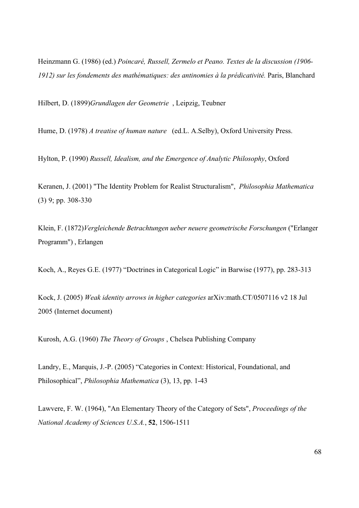Heinzmann G. (1986) (ed.) *Poincaré, Russell, Zermelo et Peano. Textes de la discussion (1906- 1912) sur les fondements des mathématiques: des antinomies à la prédicativité.* Paris, Blanchard

Hilbert, D. (1899)*Grundlagen der Geometrie* , Leipzig, Teubner

Hume, D. (1978) *A treatise of human nature* (ed.L. A.Selby), Oxford University Press.

Hylton, P. (1990) *Russell, Idealism, and the Emergence of Analytic Philosophy*, Oxford

Keranen, J. (2001) "The Identity Problem for Realist Structuralism", *Philosophia Mathematica* (3) 9; pp. 308-330

Klein, F. (1872)*Vergleichende Betrachtungen ueber neuere geometrische Forschungen* ("Erlanger Programm") , Erlangen

Koch, A., Reyes G.E. (1977) "Doctrines in Categorical Logic" in Barwise (1977), pp. 283-313

Kock, J. (2005) *Weak identity arrows in higher categories* arXiv:math.CT/0507116 v2 18 Jul 2005 (Internet document)

Kurosh, A.G. (1960) *The Theory of Groups* , Chelsea Publishing Company

Landry, E., Marquis, J.-P. (2005) "Categories in Context: Historical, Foundational, and Philosophical", *Philosophia Mathematica* (3), 13, pp. 1-43

Lawvere, F. W. (1964), "An Elementary Theory of the Category of Sets", *Proceedings of the National Academy of Sciences U.S.A.*, **52**, 1506-1511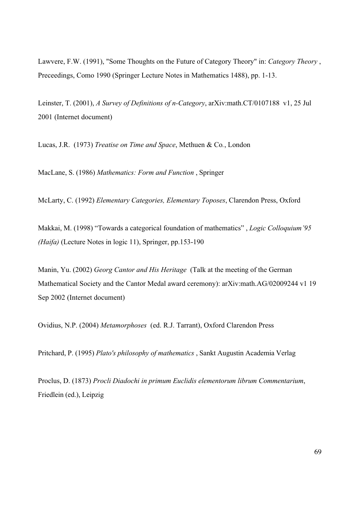Lawvere, F.W. (1991), "Some Thoughts on the Future of Category Theory" in: *Category Theory* , Preceedings, Como 1990 (Springer Lecture Notes in Mathematics 1488), pp. 1-13.

Leinster, T. (2001), *A Survey of Definitions of n-Category*, arXiv:math.CT/0107188 v1, 25 Jul 2001 (Internet document)

Lucas, J.R. (1973) *Treatise on Time and Space*, Methuen & Co*.*, London

MacLane, S. (1986) *Mathematics: Form and Function* , Springer

McLarty, C. (1992) *Elementary Categories, Elementary Toposes*, Clarendon Press, Oxford

Makkai, M. (1998) "Towards a categorical foundation of mathematics" , *Logic Colloquium'95 (Haifa)* (Lecture Notes in logic 11), Springer, pp.153-190

Manin, Yu. (2002) *Georg Cantor and His Heritage* (Talk at the meeting of the German Mathematical Society and the Cantor Medal award ceremony): arXiv:math.AG/02009244 v1 19 Sep 2002 (Internet document)

Ovidius, N.P. (2004) *Metamorphoses* (ed. R.J. Tarrant), Oxford Clarendon Press

Pritchard, P. (1995) *Plato's philosophy of mathematics* , Sankt Augustin Academia Verlag

Proclus, D. (1873) *Procli Diadochi in primum Euclidis elementorum librum Commentarium*, Friedlein (ed.), Leipzig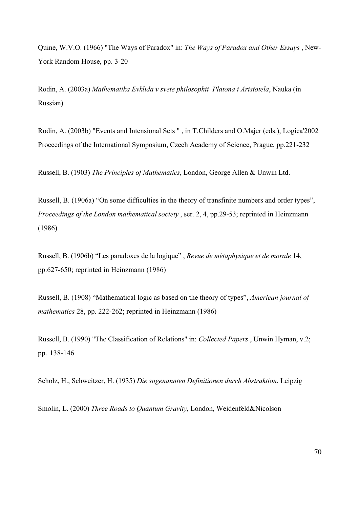Quine, W.V.O. (1966) "The Ways of Paradox" in: *The Ways of Paradox and Other Essays* , New-York Random House, pp. 3-20

Rodin, A. (2003a) *Mathematika Evklida v svete philosophii Platona i Aristotela*, Nauka (in Russian)

Rodin, A. (2003b) "Events and Intensional Sets " , in T.Childers and O.Majer (eds.), Logica'2002 Proceedings of the International Symposium, Czech Academy of Science, Prague, pp.221-232

Russell, B. (1903) *The Principles of Mathematics*, London, George Allen & Unwin Ltd.

Russell, B. (1906a) "On some difficulties in the theory of transfinite numbers and order types", *Proceedings of the London mathematical society* , ser. 2, 4, pp.29-53; reprinted in Heinzmann (1986)

Russell, B. (1906b) "Les paradoxes de la logique" , *Revue de métaphysique et de morale* 14, pp.627-650; reprinted in Heinzmann (1986)

Russell, B. (1908) "Mathematical logic as based on the theory of types", *American journal of mathematics* 28, pp. 222-262; reprinted in Heinzmann (1986)

Russell, B. (1990) "The Classification of Relations" in: *Collected Papers* , Unwin Hyman, v.2; pp. 138-146

Scholz, H., Schweitzer, H. (1935) *Die sogenannten Definitionen durch Abstraktion*, Leipzig

Smolin, L. (2000) *Three Roads to Quantum Gravity*, London, Weidenfeld&Nicolson